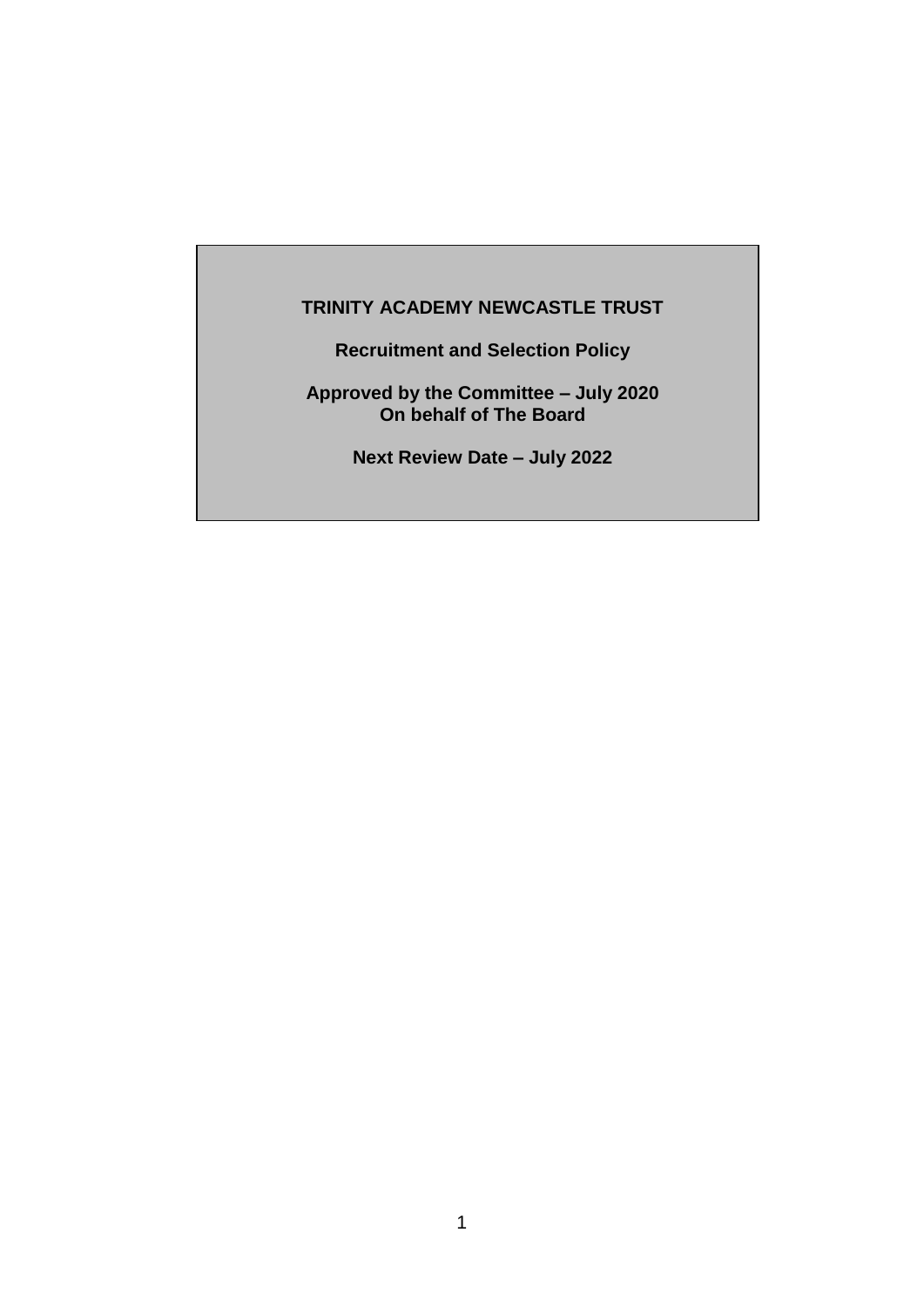# **TRINITY ACADEMY NEWCASTLE TRUST**

**Recruitment and Selection Policy**

**Approved by the Committee – July 2020 On behalf of The Board**

**Next Review Date – July 2022**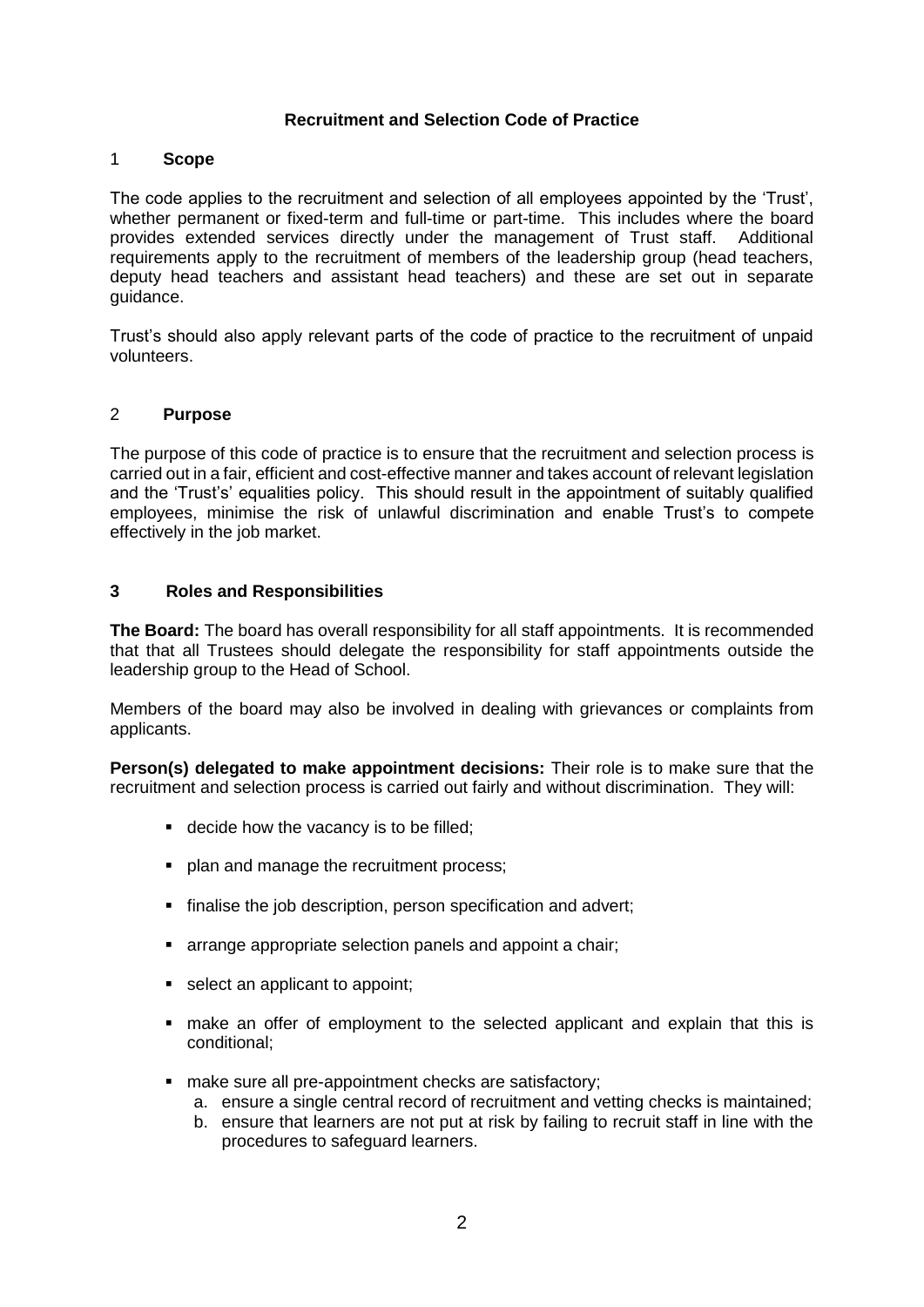# **Recruitment and Selection Code of Practice**

#### 1 **Scope**

The code applies to the recruitment and selection of all employees appointed by the 'Trust', whether permanent or fixed-term and full-time or part-time. This includes where the board provides extended services directly under the management of Trust staff. Additional requirements apply to the recruitment of members of the leadership group (head teachers, deputy head teachers and assistant head teachers) and these are set out in separate guidance.

Trust's should also apply relevant parts of the code of practice to the recruitment of unpaid volunteers.

#### 2 **Purpose**

The purpose of this code of practice is to ensure that the recruitment and selection process is carried out in a fair, efficient and cost-effective manner and takes account of relevant legislation and the 'Trust's' equalities policy. This should result in the appointment of suitably qualified employees, minimise the risk of unlawful discrimination and enable Trust's to compete effectively in the job market.

# **3 Roles and Responsibilities**

**The Board:** The board has overall responsibility for all staff appointments. It is recommended that that all Trustees should delegate the responsibility for staff appointments outside the leadership group to the Head of School.

Members of the board may also be involved in dealing with grievances or complaints from applicants.

**Person(s) delegated to make appointment decisions:** Their role is to make sure that the recruitment and selection process is carried out fairly and without discrimination. They will:

- decide how the vacancy is to be filled;
- **plan and manage the recruitment process:**
- **finalise the job description, person specification and advert;**
- arrange appropriate selection panels and appoint a chair;
- select an applicant to appoint;
- make an offer of employment to the selected applicant and explain that this is conditional;
- make sure all pre-appointment checks are satisfactory;
	- a. ensure a single central record of recruitment and vetting checks is maintained;
	- b. ensure that learners are not put at risk by failing to recruit staff in line with the procedures to safeguard learners.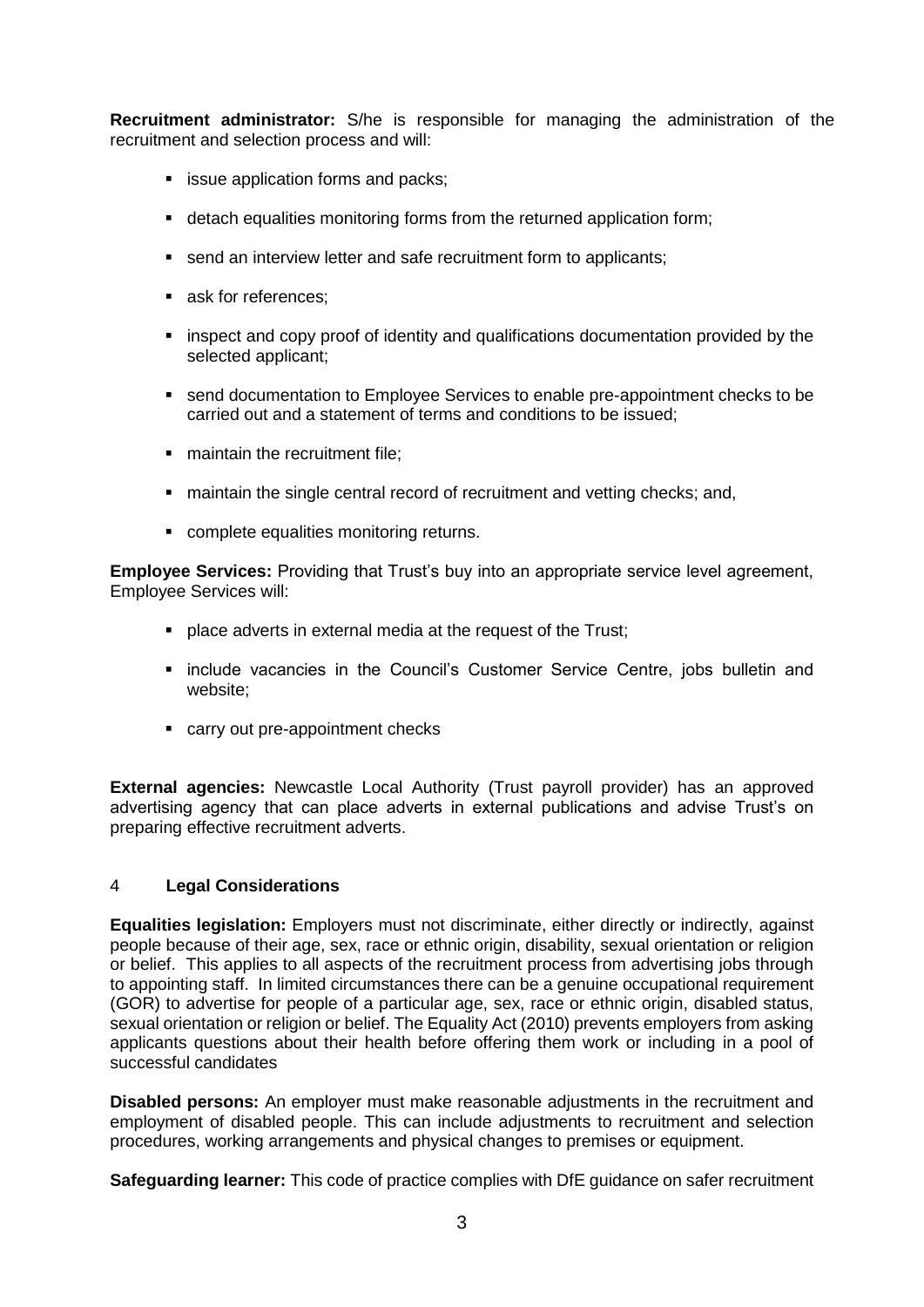**Recruitment administrator:** S/he is responsible for managing the administration of the recruitment and selection process and will:

- **EXECUTE:** issue application forms and packs;
- detach equalities monitoring forms from the returned application form;
- send an interview letter and safe recruitment form to applicants;
- ask for references;
- **EX inspect and copy proof of identity and qualifications documentation provided by the** selected applicant;
- send documentation to Employee Services to enable pre-appointment checks to be carried out and a statement of terms and conditions to be issued;
- maintain the recruitment file:
- maintain the single central record of recruitment and vetting checks; and,
- complete equalities monitoring returns.

**Employee Services:** Providing that Trust's buy into an appropriate service level agreement, Employee Services will:

- place adverts in external media at the request of the Trust;
- **Exercice vacancies in the Council's Customer Service Centre, jobs bulletin and** website;
- carry out pre-appointment checks

**External agencies:** Newcastle Local Authority (Trust payroll provider) has an approved advertising agency that can place adverts in external publications and advise Trust's on preparing effective recruitment adverts.

# 4 **Legal Considerations**

**Equalities legislation:** Employers must not discriminate, either directly or indirectly, against people because of their age, sex, race or ethnic origin, disability, sexual orientation or religion or belief. This applies to all aspects of the recruitment process from advertising jobs through to appointing staff. In limited circumstances there can be a genuine occupational requirement (GOR) to advertise for people of a particular age, sex, race or ethnic origin, disabled status, sexual orientation or religion or belief. The Equality Act (2010) prevents employers from asking applicants questions about their health before offering them work or including in a pool of successful candidates

**Disabled persons:** An employer must make reasonable adjustments in the recruitment and employment of disabled people. This can include adjustments to recruitment and selection procedures, working arrangements and physical changes to premises or equipment.

**Safeguarding learner:** This code of practice complies with DfE guidance on safer recruitment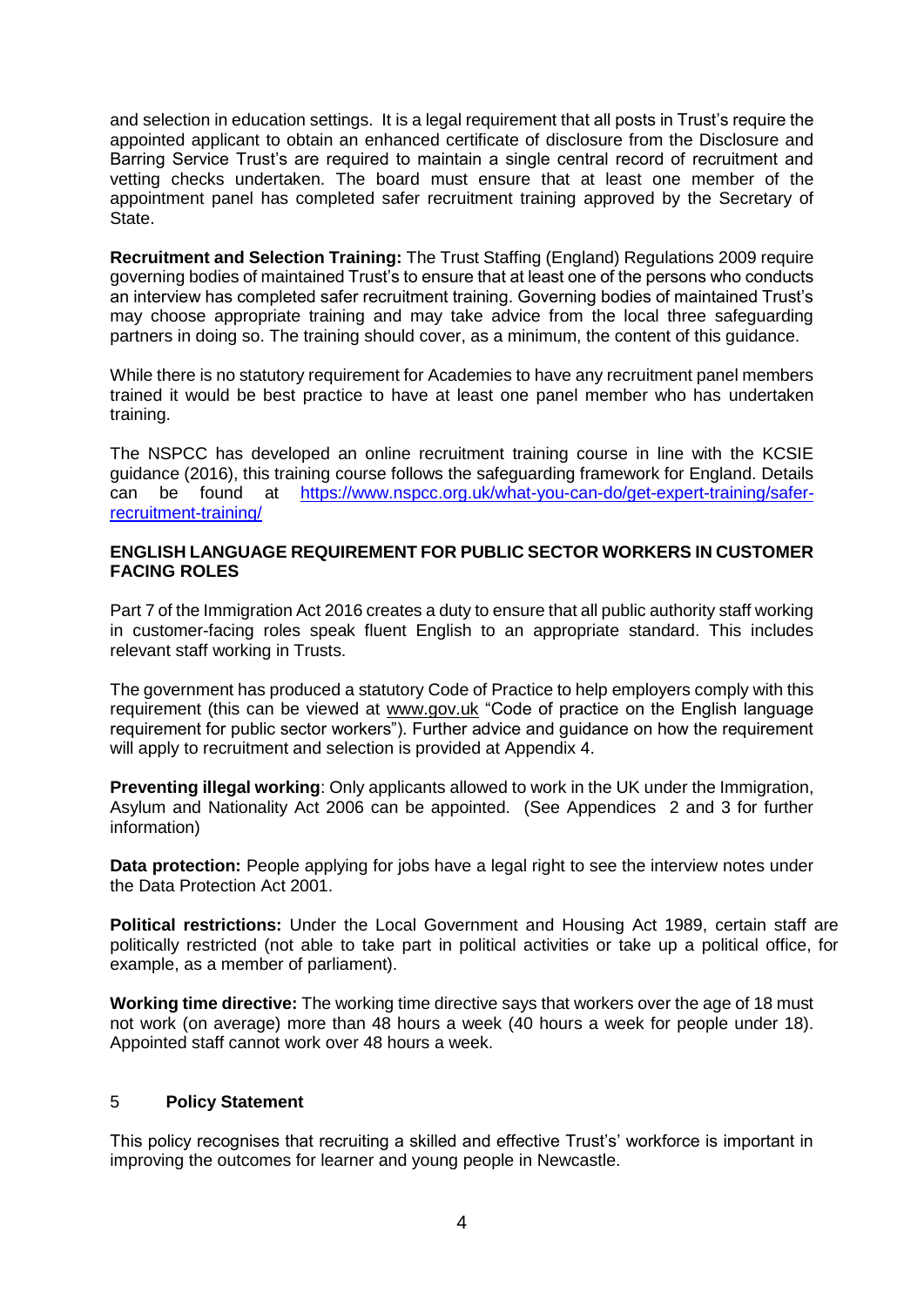and selection in education settings. It is a legal requirement that all posts in Trust's require the appointed applicant to obtain an enhanced certificate of disclosure from the Disclosure and Barring Service Trust's are required to maintain a single central record of recruitment and vetting checks undertaken. The board must ensure that at least one member of the appointment panel has completed safer recruitment training approved by the Secretary of State.

**Recruitment and Selection Training:** The Trust Staffing (England) Regulations 2009 require governing bodies of maintained Trust's to ensure that at least one of the persons who conducts an interview has completed safer recruitment training. Governing bodies of maintained Trust's may choose appropriate training and may take advice from the local three safeguarding partners in doing so. The training should cover, as a minimum, the content of this guidance.

While there is no statutory requirement for Academies to have any recruitment panel members trained it would be best practice to have at least one panel member who has undertaken training.

The NSPCC has developed an online recruitment training course in line with the KCSIE guidance (2016), this training course follows the safeguarding framework for England. Details can be found at [https://www.nspcc.org.uk/what-you-can-do/get-expert-training/safer](https://www.nspcc.org.uk/what-you-can-do/get-expert-training/safer-recruitment-training/)[recruitment-training/](https://www.nspcc.org.uk/what-you-can-do/get-expert-training/safer-recruitment-training/)

#### **ENGLISH LANGUAGE REQUIREMENT FOR PUBLIC SECTOR WORKERS IN CUSTOMER FACING ROLES**

Part 7 of the Immigration Act 2016 creates a duty to ensure that all public authority staff working in customer-facing roles speak fluent English to an appropriate standard. This includes relevant staff working in Trusts.

The government has produced a statutory Code of Practice to help employers comply with this requirement (this can be viewed at [www.gov.](http://www.gov/)uk "Code of practice on the English language requirement for public sector workers"). Further advice and guidance on how the requirement will apply to recruitment and selection is provided at Appendix 4.

**Preventing illegal working**: Only applicants allowed to work in the UK under the Immigration, Asylum and Nationality Act 2006 can be appointed. (See Appendices 2 and 3 for further information)

**Data protection:** People applying for jobs have a legal right to see the interview notes under the Data Protection Act 2001.

**Political restrictions:** Under the Local Government and Housing Act 1989, certain staff are politically restricted (not able to take part in political activities or take up a political office, for example, as a member of parliament).

**Working time directive:** The working time directive says that workers over the age of 18 must not work (on average) more than 48 hours a week (40 hours a week for people under 18). Appointed staff cannot work over 48 hours a week.

# 5 **Policy Statement**

This policy recognises that recruiting a skilled and effective Trust's' workforce is important in improving the outcomes for learner and young people in Newcastle.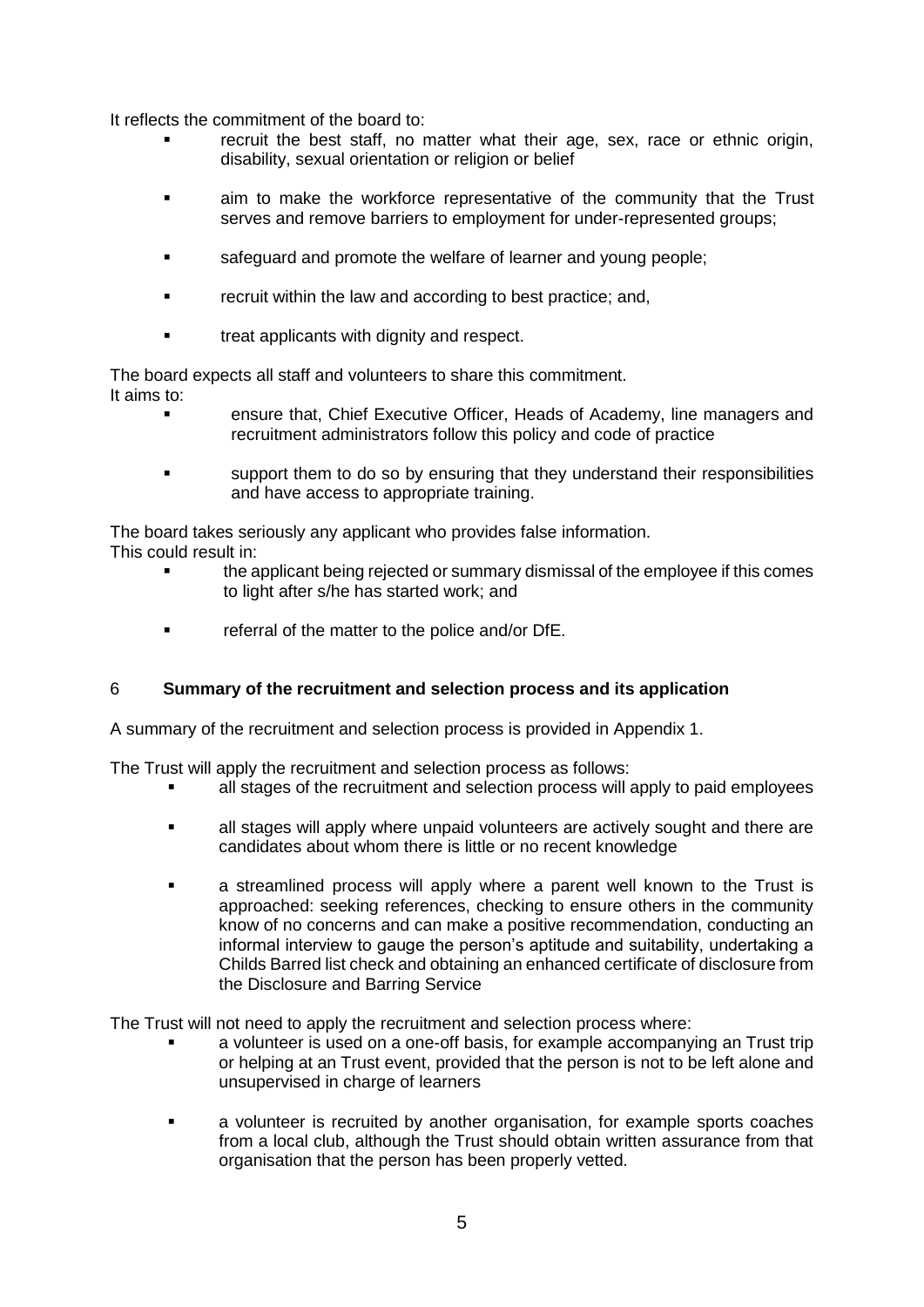It reflects the commitment of the board to:

- recruit the best staff, no matter what their age, sex, race or ethnic origin, disability, sexual orientation or religion or belief
- aim to make the workforce representative of the community that the Trust serves and remove barriers to employment for under-represented groups;
- **safequard and promote the welfare of learner and young people:**
- recruit within the law and according to best practice; and,
- **treat applicants with dignity and respect.**

The board expects all staff and volunteers to share this commitment. It aims to:

- ensure that, Chief Executive Officer, Heads of Academy, line managers and recruitment administrators follow this policy and code of practice
- support them to do so by ensuring that they understand their responsibilities and have access to appropriate training.

The board takes seriously any applicant who provides false information.

- This could result in:
	- the applicant being rejected or summary dismissal of the employee if this comes to light after s/he has started work; and
	- **Fig. 4** referral of the matter to the police and/or DfE.

# 6 **Summary of the recruitment and selection process and its application**

A summary of the recruitment and selection process is provided in Appendix 1.

The Trust will apply the recruitment and selection process as follows:

- all stages of the recruitment and selection process will apply to paid employees
- all stages will apply where unpaid volunteers are actively sought and there are candidates about whom there is little or no recent knowledge
- **a** streamlined process will apply where a parent well known to the Trust is approached: seeking references, checking to ensure others in the community know of no concerns and can make a positive recommendation, conducting an informal interview to gauge the person's aptitude and suitability, undertaking a Childs Barred list check and obtaining an enhanced certificate of disclosure from the Disclosure and Barring Service

The Trust will not need to apply the recruitment and selection process where:

- a volunteer is used on a one-off basis, for example accompanying an Trust trip or helping at an Trust event, provided that the person is not to be left alone and unsupervised in charge of learners
- **a** a volunteer is recruited by another organisation, for example sports coaches from a local club, although the Trust should obtain written assurance from that organisation that the person has been properly vetted.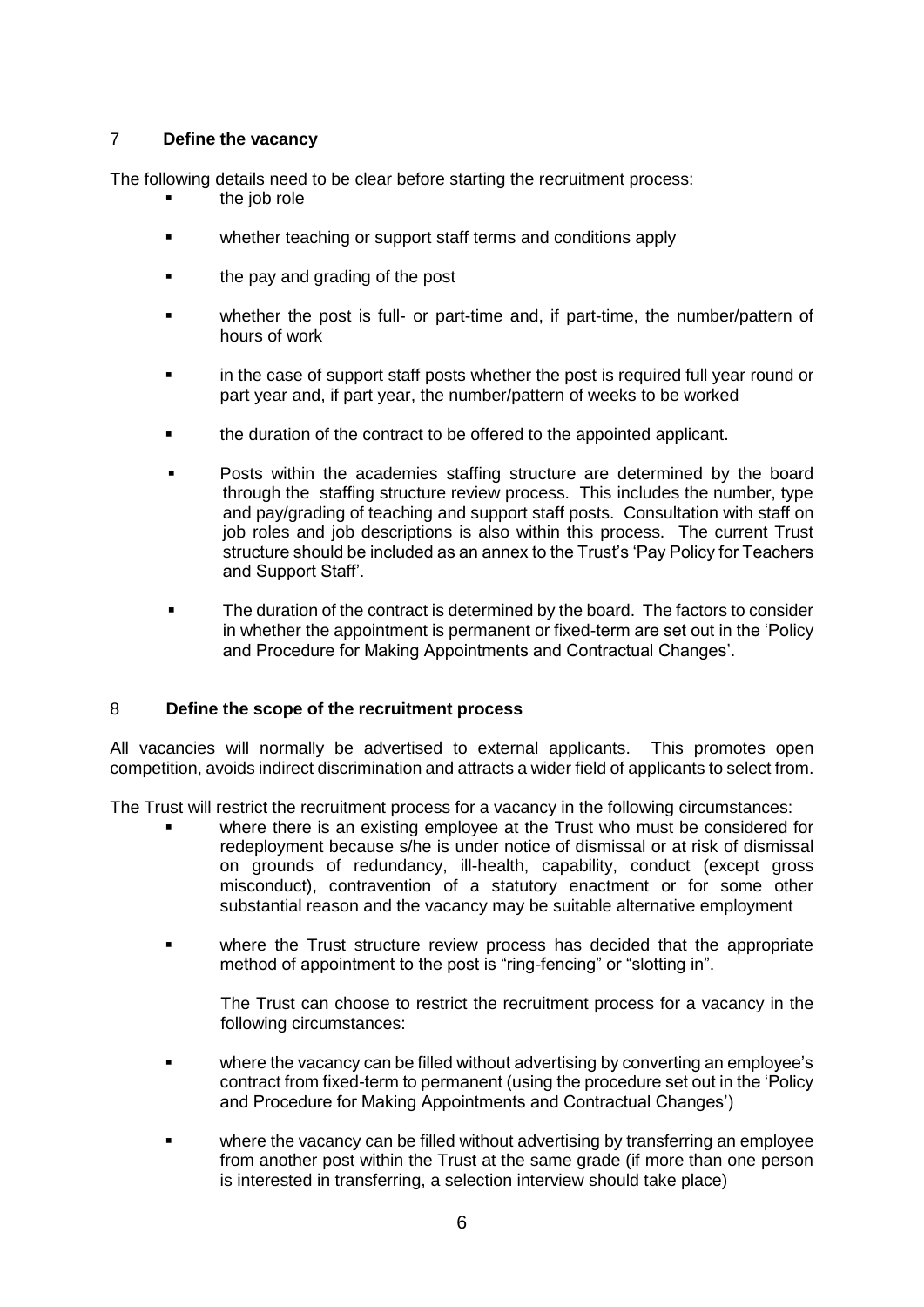# 7 **Define the vacancy**

The following details need to be clear before starting the recruitment process:

- the job role
- **EXECT:** whether teaching or support staff terms and conditions apply
- **the pay and grading of the post**
- whether the post is full- or part-time and, if part-time, the number/pattern of hours of work
- in the case of support staff posts whether the post is required full year round or part year and, if part year, the number/pattern of weeks to be worked
- the duration of the contract to be offered to the appointed applicant.
- Posts within the academies staffing structure are determined by the board through the staffing structure review process. This includes the number, type and pay/grading of teaching and support staff posts. Consultation with staff on job roles and job descriptions is also within this process. The current Trust structure should be included as an annex to the Trust's 'Pay Policy for Teachers and Support Staff'.
- The duration of the contract is determined by the board. The factors to consider in whether the appointment is permanent or fixed-term are set out in the 'Policy and Procedure for Making Appointments and Contractual Changes'.

# 8 **Define the scope of the recruitment process**

All vacancies will normally be advertised to external applicants. This promotes open competition, avoids indirect discrimination and attracts a wider field of applicants to select from.

The Trust will restrict the recruitment process for a vacancy in the following circumstances:

- where there is an existing employee at the Trust who must be considered for redeployment because s/he is under notice of dismissal or at risk of dismissal on grounds of redundancy, ill-health, capability, conduct (except gross misconduct), contravention of a statutory enactment or for some other substantial reason and the vacancy may be suitable alternative employment
- where the Trust structure review process has decided that the appropriate method of appointment to the post is "ring-fencing" or "slotting in".

The Trust can choose to restrict the recruitment process for a vacancy in the following circumstances:

- where the vacancy can be filled without advertising by converting an employee's contract from fixed-term to permanent (using the procedure set out in the 'Policy and Procedure for Making Appointments and Contractual Changes')
- where the vacancy can be filled without advertising by transferring an employee from another post within the Trust at the same grade (if more than one person is interested in transferring, a selection interview should take place)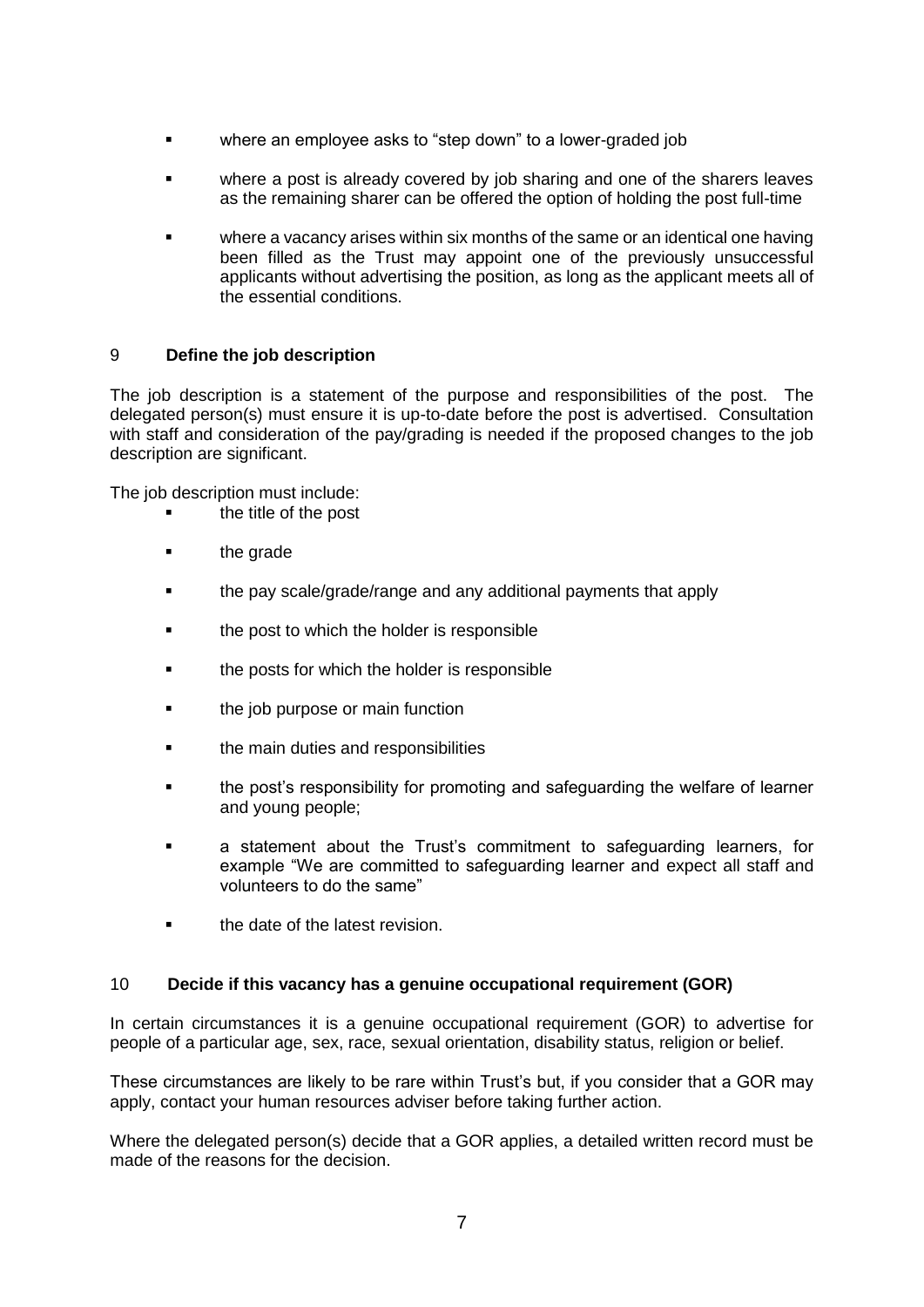- where an employee asks to "step down" to a lower-graded job
- where a post is already covered by job sharing and one of the sharers leaves as the remaining sharer can be offered the option of holding the post full-time
- where a vacancy arises within six months of the same or an identical one having been filled as the Trust may appoint one of the previously unsuccessful applicants without advertising the position, as long as the applicant meets all of the essential conditions.

# 9 **Define the job description**

The job description is a statement of the purpose and responsibilities of the post. The delegated person(s) must ensure it is up-to-date before the post is advertised. Consultation with staff and consideration of the pay/grading is needed if the proposed changes to the job description are significant.

The job description must include:

- the title of the post
- **the grade**
- **the pay scale/grade/range and any additional payments that apply**
- **the post to which the holder is responsible**
- **the posts for which the holder is responsible**
- **the job purpose or main function**
- **the main duties and responsibilities**
- **the post's responsibility for promoting and safeguarding the welfare of learner** and young people;
- a statement about the Trust's commitment to safeguarding learners, for example "We are committed to safeguarding learner and expect all staff and volunteers to do the same"
- **the date of the latest revision.**

#### 10 **Decide if this vacancy has a genuine occupational requirement (GOR)**

In certain circumstances it is a genuine occupational requirement (GOR) to advertise for people of a particular age, sex, race, sexual orientation, disability status, religion or belief.

These circumstances are likely to be rare within Trust's but, if you consider that a GOR may apply, contact your human resources adviser before taking further action.

Where the delegated person(s) decide that a GOR applies, a detailed written record must be made of the reasons for the decision.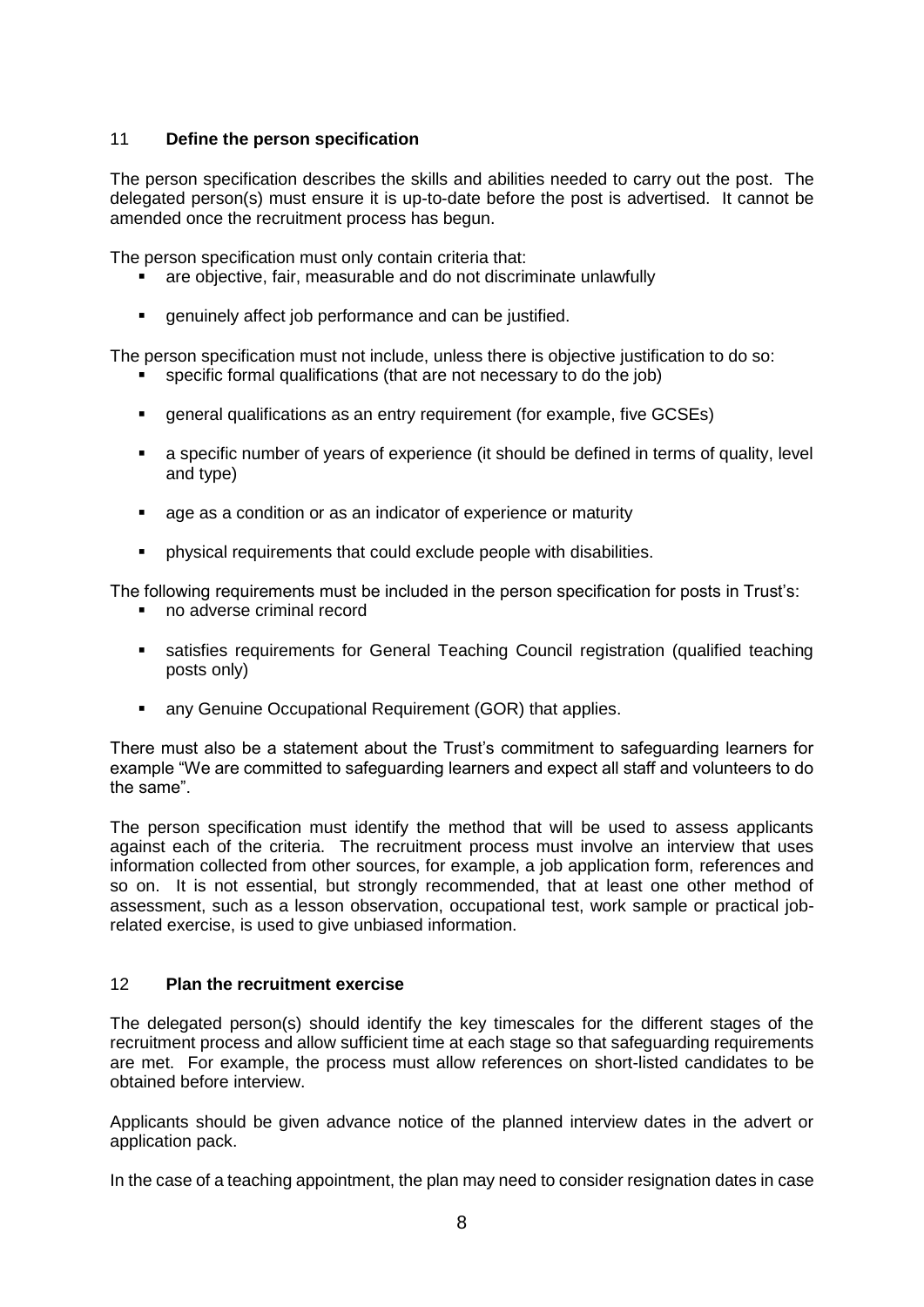# 11 **Define the person specification**

The person specification describes the skills and abilities needed to carry out the post. The delegated person(s) must ensure it is up-to-date before the post is advertised. It cannot be amended once the recruitment process has begun.

The person specification must only contain criteria that:

- are objective, fair, measurable and do not discriminate unlawfully
- genuinely affect job performance and can be justified.

The person specification must not include, unless there is objective justification to do so:

- specific formal qualifications (that are not necessary to do the job)
- general qualifications as an entry requirement (for example, five GCSEs)
- a specific number of years of experience (it should be defined in terms of quality, level and type)
- age as a condition or as an indicator of experience or maturity
- physical requirements that could exclude people with disabilities.

The following requirements must be included in the person specification for posts in Trust's:

- no adverse criminal record
- satisfies requirements for General Teaching Council registration (qualified teaching posts only)
- any Genuine Occupational Requirement (GOR) that applies.

There must also be a statement about the Trust's commitment to safeguarding learners for example "We are committed to safeguarding learners and expect all staff and volunteers to do the same".

The person specification must identify the method that will be used to assess applicants against each of the criteria. The recruitment process must involve an interview that uses information collected from other sources, for example, a job application form, references and so on. It is not essential, but strongly recommended, that at least one other method of assessment, such as a lesson observation, occupational test, work sample or practical jobrelated exercise, is used to give unbiased information.

# 12 **Plan the recruitment exercise**

The delegated person(s) should identify the key timescales for the different stages of the recruitment process and allow sufficient time at each stage so that safeguarding requirements are met. For example, the process must allow references on short-listed candidates to be obtained before interview.

Applicants should be given advance notice of the planned interview dates in the advert or application pack.

In the case of a teaching appointment, the plan may need to consider resignation dates in case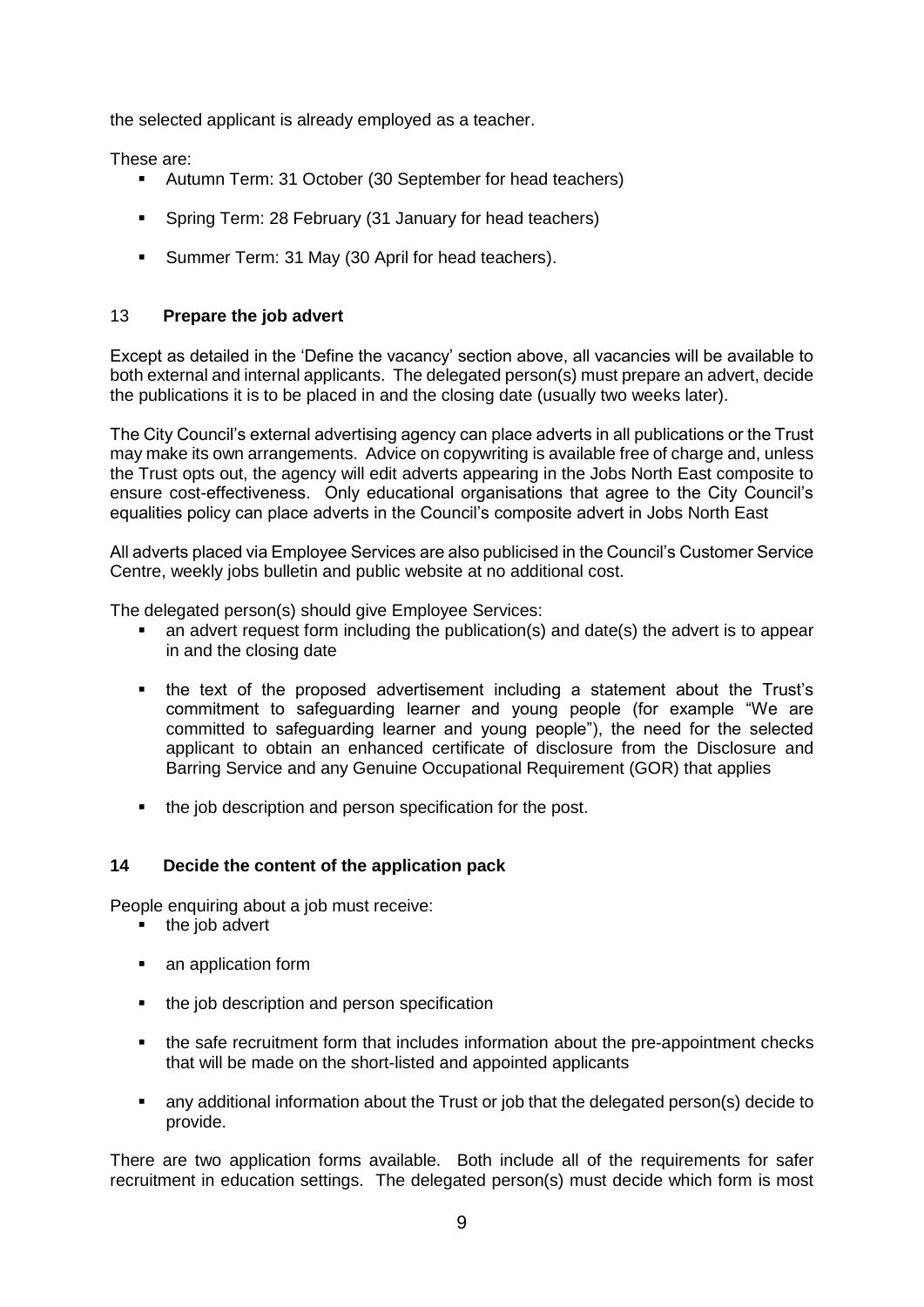the selected applicant is already employed as a teacher.

These are:

- Autumn Term: 31 October (30 September for head teachers)
- **Spring Term: 28 February (31 January for head teachers)**
- **Summer Term: 31 May (30 April for head teachers).**

# 13 **Prepare the job advert**

Except as detailed in the 'Define the vacancy' section above, all vacancies will be available to both external and internal applicants. The delegated person(s) must prepare an advert, decide the publications it is to be placed in and the closing date (usually two weeks later).

The City Council's external advertising agency can place adverts in all publications or the Trust may make its own arrangements. Advice on copywriting is available free of charge and, unless the Trust opts out, the agency will edit adverts appearing in the Jobs North East composite to ensure cost-effectiveness. Only educational organisations that agree to the City Council's equalities policy can place adverts in the Council's composite advert in Jobs North East

All adverts placed via Employee Services are also publicised in the Council's Customer Service Centre, weekly jobs bulletin and public website at no additional cost.

The delegated person(s) should give Employee Services:

- an advert request form including the publication(s) and date(s) the advert is to appear in and the closing date
- the text of the proposed advertisement including a statement about the Trust's commitment to safeguarding learner and young people (for example "We are committed to safeguarding learner and young people"), the need for the selected applicant to obtain an enhanced certificate of disclosure from the Disclosure and Barring Service and any Genuine Occupational Requirement (GOR) that applies
- the job description and person specification for the post.

# **14 Decide the content of the application pack**

People enquiring about a job must receive:

- $\blacksquare$  the job advert
- an application form
- the job description and person specification
- the safe recruitment form that includes information about the pre-appointment checks that will be made on the short-listed and appointed applicants
- any additional information about the Trust or job that the delegated person(s) decide to provide.

There are two application forms available. Both include all of the requirements for safer recruitment in education settings. The delegated person(s) must decide which form is most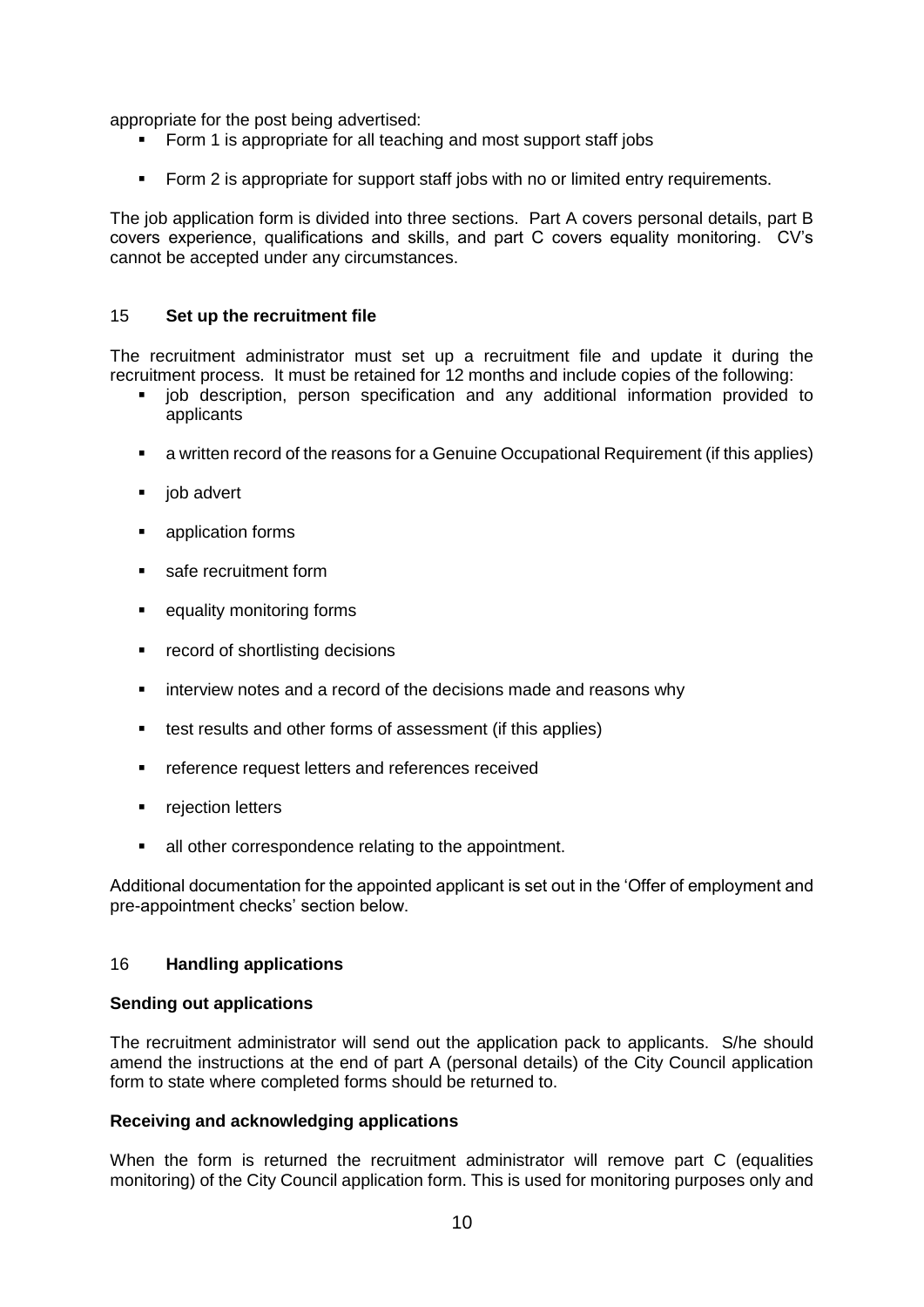appropriate for the post being advertised:

- Form 1 is appropriate for all teaching and most support staff jobs
- Form 2 is appropriate for support staff jobs with no or limited entry requirements.

The job application form is divided into three sections. Part A covers personal details, part B covers experience, qualifications and skills, and part C covers equality monitoring. CV's cannot be accepted under any circumstances.

#### 15 **Set up the recruitment file**

The recruitment administrator must set up a recruitment file and update it during the recruitment process. It must be retained for 12 months and include copies of the following:

- job description, person specification and any additional information provided to applicants
- a written record of the reasons for a Genuine Occupational Requirement (if this applies)
- $\blacksquare$  job advert
- **application forms**
- safe recruitment form
- **Example 1** equality monitoring forms
- **•** record of shortlisting decisions
- **EXECT** interview notes and a record of the decisions made and reasons why
- test results and other forms of assessment (if this applies)
- **F** reference request letters and references received
- **•** rejection letters
- all other correspondence relating to the appointment.

Additional documentation for the appointed applicant is set out in the 'Offer of employment and pre-appointment checks' section below.

#### 16 **Handling applications**

#### **Sending out applications**

The recruitment administrator will send out the application pack to applicants. S/he should amend the instructions at the end of part A (personal details) of the City Council application form to state where completed forms should be returned to.

# **Receiving and acknowledging applications**

When the form is returned the recruitment administrator will remove part C (equalities monitoring) of the City Council application form. This is used for monitoring purposes only and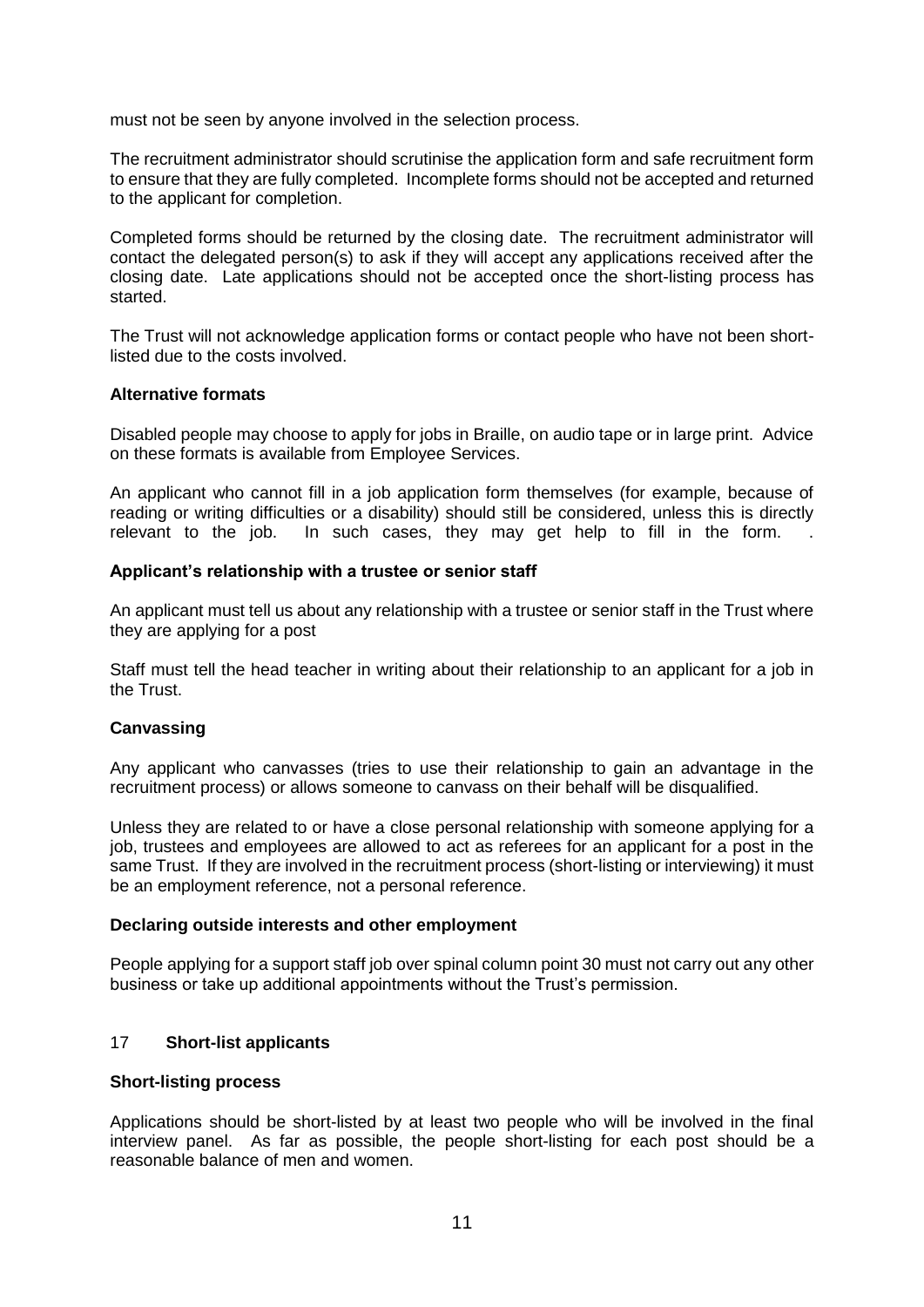must not be seen by anyone involved in the selection process.

The recruitment administrator should scrutinise the application form and safe recruitment form to ensure that they are fully completed. Incomplete forms should not be accepted and returned to the applicant for completion.

Completed forms should be returned by the closing date. The recruitment administrator will contact the delegated person(s) to ask if they will accept any applications received after the closing date. Late applications should not be accepted once the short-listing process has started.

The Trust will not acknowledge application forms or contact people who have not been shortlisted due to the costs involved.

#### **Alternative formats**

Disabled people may choose to apply for jobs in Braille, on audio tape or in large print. Advice on these formats is available from Employee Services.

An applicant who cannot fill in a job application form themselves (for example, because of reading or writing difficulties or a disability) should still be considered, unless this is directly relevant to the job. In such cases, they may get help to fill in the form.

#### **Applicant's relationship with a trustee or senior staff**

An applicant must tell us about any relationship with a trustee or senior staff in the Trust where they are applying for a post

Staff must tell the head teacher in writing about their relationship to an applicant for a job in the Trust.

# **Canvassing**

Any applicant who canvasses (tries to use their relationship to gain an advantage in the recruitment process) or allows someone to canvass on their behalf will be disqualified.

Unless they are related to or have a close personal relationship with someone applying for a job, trustees and employees are allowed to act as referees for an applicant for a post in the same Trust. If they are involved in the recruitment process (short-listing or interviewing) it must be an employment reference, not a personal reference.

#### **Declaring outside interests and other employment**

People applying for a support staff job over spinal column point 30 must not carry out any other business or take up additional appointments without the Trust's permission.

# 17 **Short-list applicants**

#### **Short-listing process**

Applications should be short-listed by at least two people who will be involved in the final interview panel. As far as possible, the people short-listing for each post should be a reasonable balance of men and women.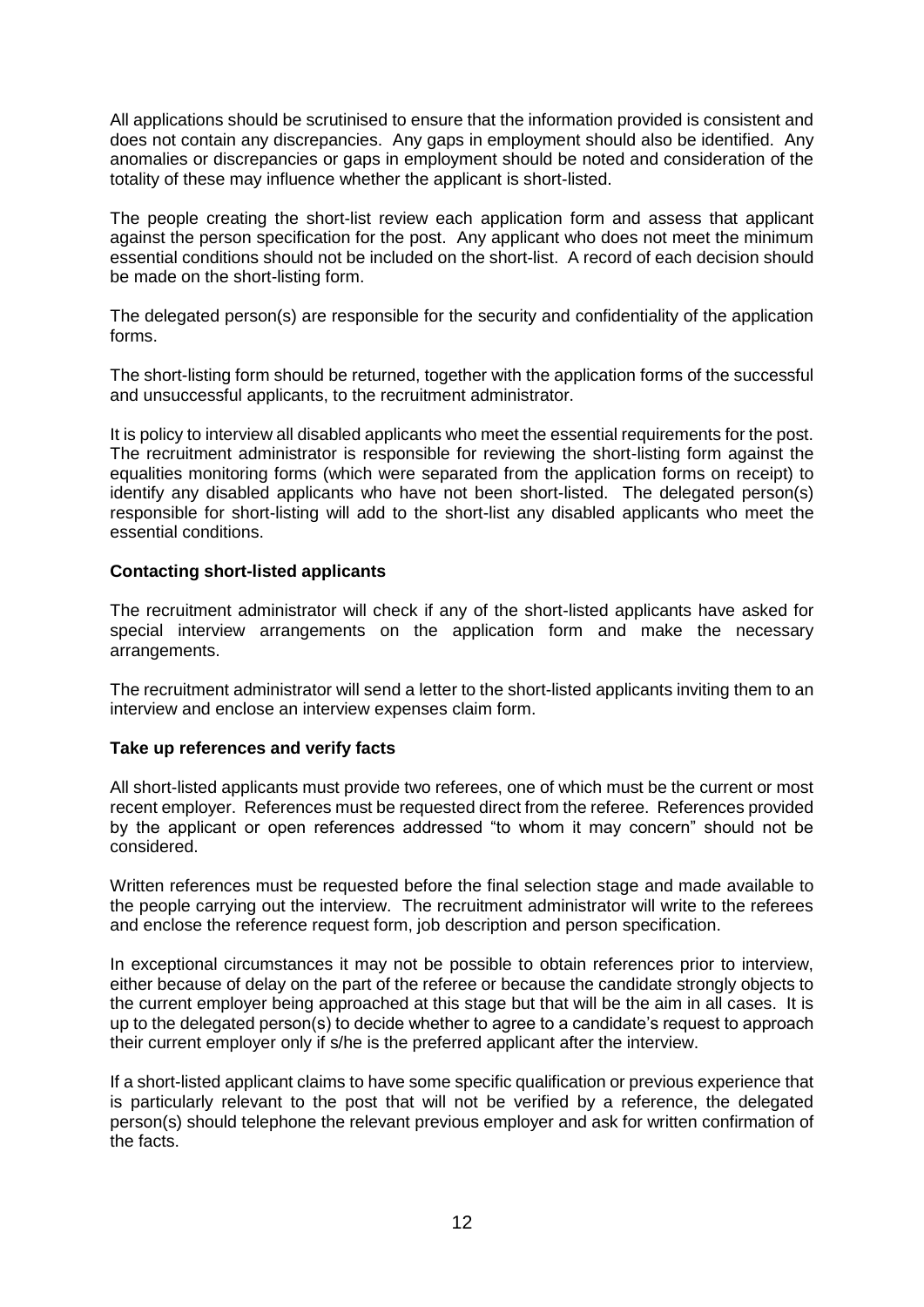All applications should be scrutinised to ensure that the information provided is consistent and does not contain any discrepancies. Any gaps in employment should also be identified. Any anomalies or discrepancies or gaps in employment should be noted and consideration of the totality of these may influence whether the applicant is short-listed.

The people creating the short-list review each application form and assess that applicant against the person specification for the post. Any applicant who does not meet the minimum essential conditions should not be included on the short-list. A record of each decision should be made on the short-listing form.

The delegated person(s) are responsible for the security and confidentiality of the application forms.

The short-listing form should be returned, together with the application forms of the successful and unsuccessful applicants, to the recruitment administrator.

It is policy to interview all disabled applicants who meet the essential requirements for the post. The recruitment administrator is responsible for reviewing the short-listing form against the equalities monitoring forms (which were separated from the application forms on receipt) to identify any disabled applicants who have not been short-listed. The delegated person(s) responsible for short-listing will add to the short-list any disabled applicants who meet the essential conditions.

# **Contacting short-listed applicants**

The recruitment administrator will check if any of the short-listed applicants have asked for special interview arrangements on the application form and make the necessary arrangements.

The recruitment administrator will send a letter to the short-listed applicants inviting them to an interview and enclose an interview expenses claim form.

#### **Take up references and verify facts**

All short-listed applicants must provide two referees, one of which must be the current or most recent employer. References must be requested direct from the referee. References provided by the applicant or open references addressed "to whom it may concern" should not be considered.

Written references must be requested before the final selection stage and made available to the people carrying out the interview. The recruitment administrator will write to the referees and enclose the reference request form, job description and person specification.

In exceptional circumstances it may not be possible to obtain references prior to interview, either because of delay on the part of the referee or because the candidate strongly objects to the current employer being approached at this stage but that will be the aim in all cases. It is up to the delegated person(s) to decide whether to agree to a candidate's request to approach their current employer only if s/he is the preferred applicant after the interview.

If a short-listed applicant claims to have some specific qualification or previous experience that is particularly relevant to the post that will not be verified by a reference, the delegated person(s) should telephone the relevant previous employer and ask for written confirmation of the facts.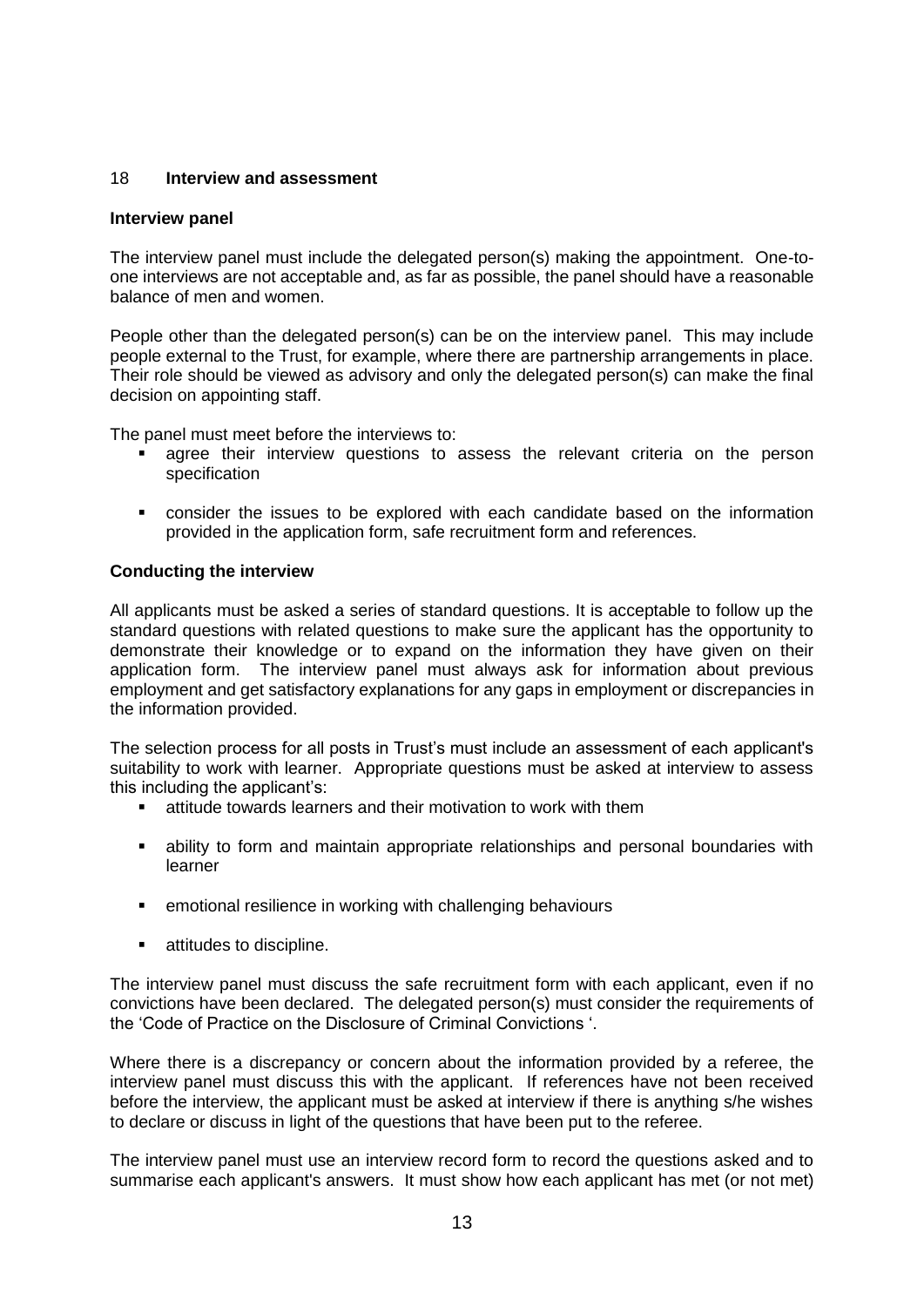# 18 **Interview and assessment**

#### **Interview panel**

The interview panel must include the delegated person(s) making the appointment. One-toone interviews are not acceptable and, as far as possible, the panel should have a reasonable balance of men and women.

People other than the delegated person(s) can be on the interview panel. This may include people external to the Trust, for example, where there are partnership arrangements in place. Their role should be viewed as advisory and only the delegated person(s) can make the final decision on appointing staff.

The panel must meet before the interviews to:

- agree their interview questions to assess the relevant criteria on the person specification
- consider the issues to be explored with each candidate based on the information provided in the application form, safe recruitment form and references.

# **Conducting the interview**

All applicants must be asked a series of standard questions. It is acceptable to follow up the standard questions with related questions to make sure the applicant has the opportunity to demonstrate their knowledge or to expand on the information they have given on their application form. The interview panel must always ask for information about previous employment and get satisfactory explanations for any gaps in employment or discrepancies in the information provided.

The selection process for all posts in Trust's must include an assessment of each applicant's suitability to work with learner. Appropriate questions must be asked at interview to assess this including the applicant's:

- attitude towards learners and their motivation to work with them
- ability to form and maintain appropriate relationships and personal boundaries with learner
- **EXECT** emotional resilience in working with challenging behaviours
- **EXECUTE:** attitudes to discipline.

The interview panel must discuss the safe recruitment form with each applicant, even if no convictions have been declared. The delegated person(s) must consider the requirements of the 'Code of Practice on the Disclosure of Criminal Convictions '.

Where there is a discrepancy or concern about the information provided by a referee, the interview panel must discuss this with the applicant. If references have not been received before the interview, the applicant must be asked at interview if there is anything s/he wishes to declare or discuss in light of the questions that have been put to the referee.

The interview panel must use an interview record form to record the questions asked and to summarise each applicant's answers. It must show how each applicant has met (or not met)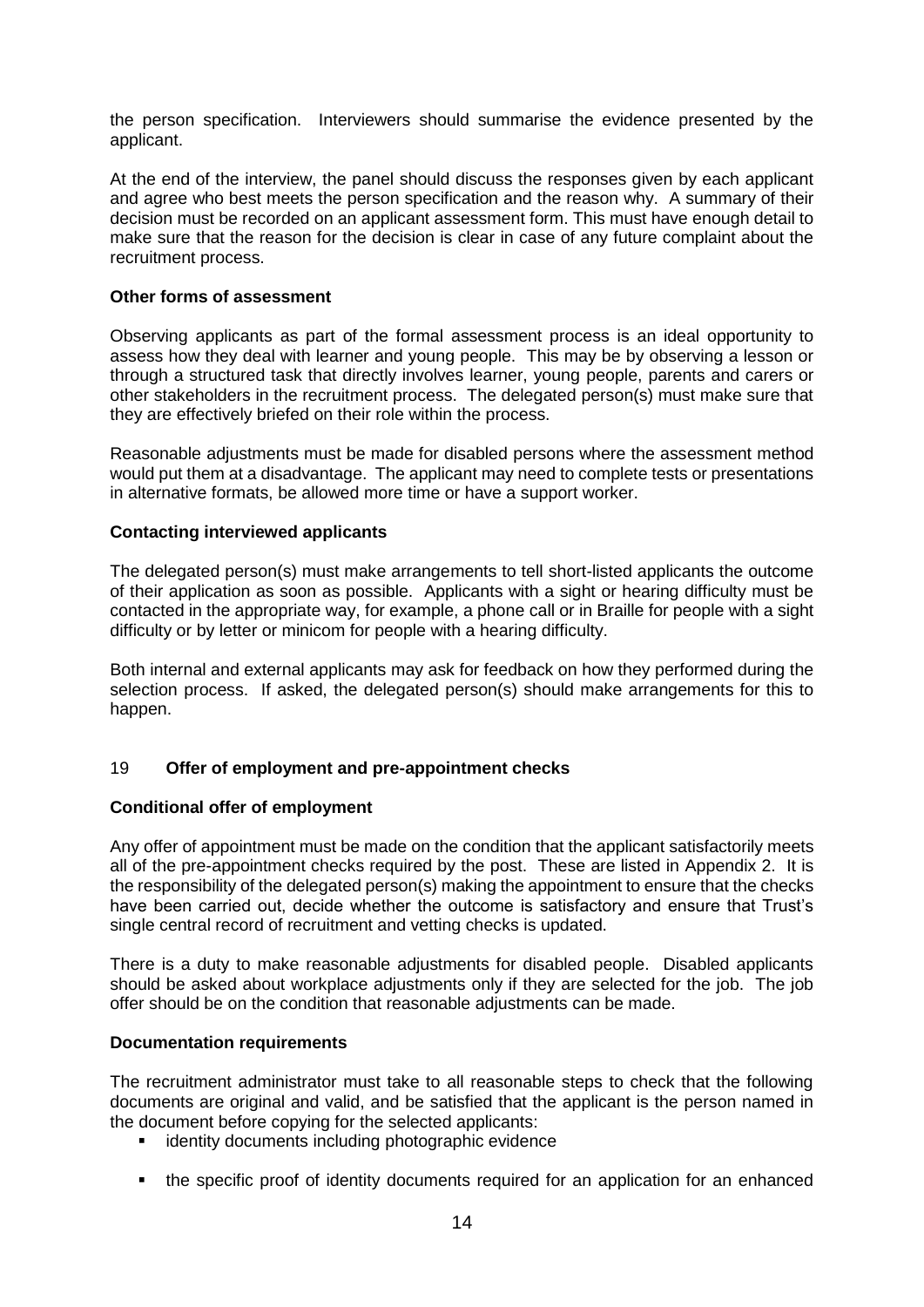the person specification. Interviewers should summarise the evidence presented by the applicant.

At the end of the interview, the panel should discuss the responses given by each applicant and agree who best meets the person specification and the reason why. A summary of their decision must be recorded on an applicant assessment form. This must have enough detail to make sure that the reason for the decision is clear in case of any future complaint about the recruitment process.

# **Other forms of assessment**

Observing applicants as part of the formal assessment process is an ideal opportunity to assess how they deal with learner and young people. This may be by observing a lesson or through a structured task that directly involves learner, young people, parents and carers or other stakeholders in the recruitment process. The delegated person(s) must make sure that they are effectively briefed on their role within the process.

Reasonable adjustments must be made for disabled persons where the assessment method would put them at a disadvantage. The applicant may need to complete tests or presentations in alternative formats, be allowed more time or have a support worker.

#### **Contacting interviewed applicants**

The delegated person(s) must make arrangements to tell short-listed applicants the outcome of their application as soon as possible. Applicants with a sight or hearing difficulty must be contacted in the appropriate way, for example, a phone call or in Braille for people with a sight difficulty or by letter or minicom for people with a hearing difficulty.

Both internal and external applicants may ask for feedback on how they performed during the selection process. If asked, the delegated person(s) should make arrangements for this to happen.

# 19 **Offer of employment and pre-appointment checks**

#### **Conditional offer of employment**

Any offer of appointment must be made on the condition that the applicant satisfactorily meets all of the pre-appointment checks required by the post. These are listed in Appendix 2. It is the responsibility of the delegated person(s) making the appointment to ensure that the checks have been carried out, decide whether the outcome is satisfactory and ensure that Trust's single central record of recruitment and vetting checks is updated.

There is a duty to make reasonable adjustments for disabled people. Disabled applicants should be asked about workplace adjustments only if they are selected for the job. The job offer should be on the condition that reasonable adjustments can be made.

#### **Documentation requirements**

The recruitment administrator must take to all reasonable steps to check that the following documents are original and valid, and be satisfied that the applicant is the person named in the document before copying for the selected applicants:

- **EXECUTE:** identity documents including photographic evidence
- the specific proof of identity documents required for an application for an enhanced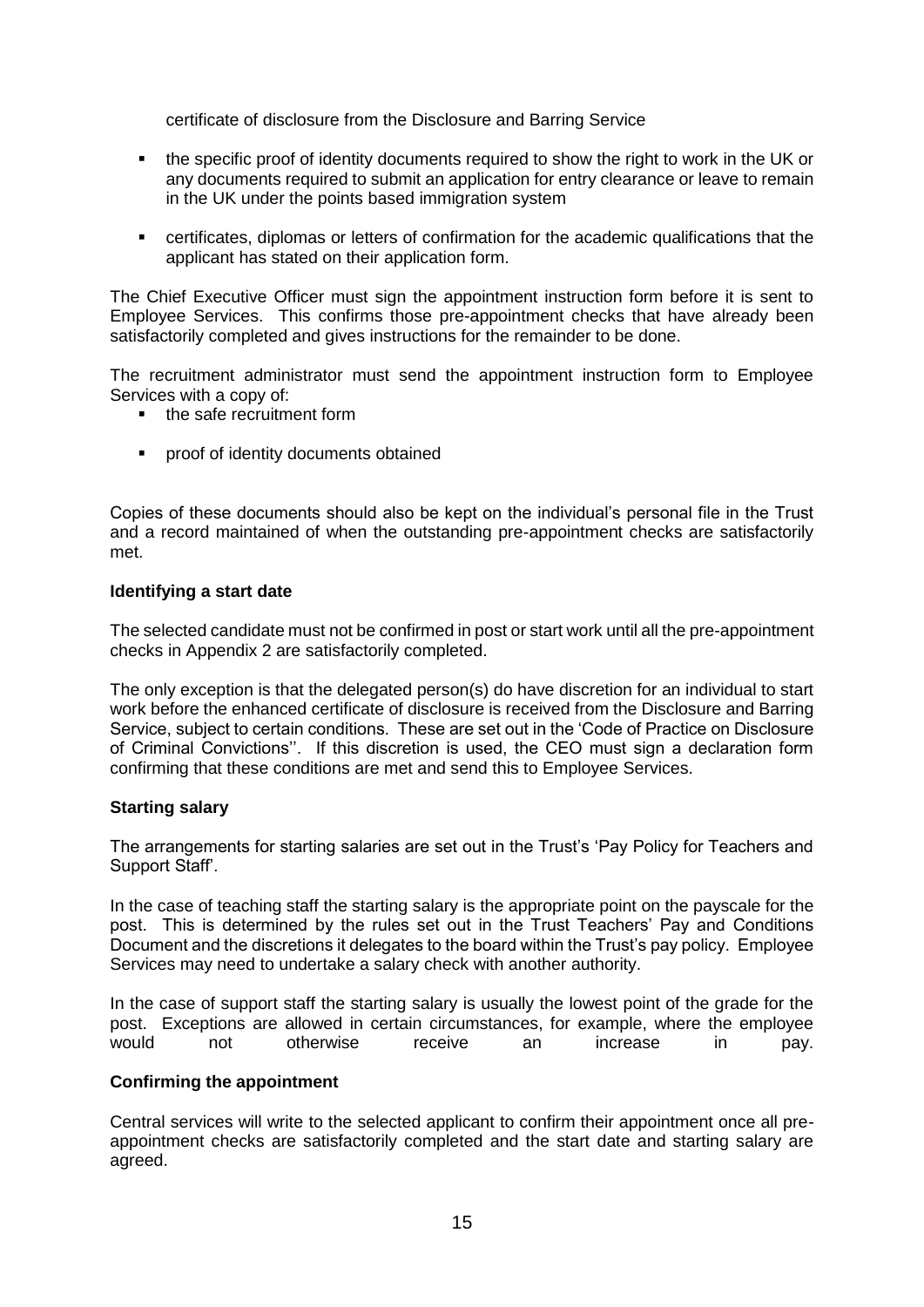certificate of disclosure from the Disclosure and Barring Service

- the specific proof of identity documents required to show the right to work in the UK or any documents required to submit an application for entry clearance or leave to remain in the UK under the points based immigration system
- certificates, diplomas or letters of confirmation for the academic qualifications that the applicant has stated on their application form.

The Chief Executive Officer must sign the appointment instruction form before it is sent to Employee Services. This confirms those pre-appointment checks that have already been satisfactorily completed and gives instructions for the remainder to be done.

The recruitment administrator must send the appointment instruction form to Employee Services with a copy of:

- the safe recruitment form
- proof of identity documents obtained

Copies of these documents should also be kept on the individual's personal file in the Trust and a record maintained of when the outstanding pre-appointment checks are satisfactorily met.

# **Identifying a start date**

The selected candidate must not be confirmed in post or start work until all the pre-appointment checks in Appendix 2 are satisfactorily completed.

The only exception is that the delegated person(s) do have discretion for an individual to start work before the enhanced certificate of disclosure is received from the Disclosure and Barring Service, subject to certain conditions. These are set out in the 'Code of Practice on Disclosure of Criminal Convictions''. If this discretion is used, the CEO must sign a declaration form confirming that these conditions are met and send this to Employee Services.

# **Starting salary**

The arrangements for starting salaries are set out in the Trust's 'Pay Policy for Teachers and Support Staff'.

In the case of teaching staff the starting salary is the appropriate point on the payscale for the post. This is determined by the rules set out in the Trust Teachers' Pay and Conditions Document and the discretions it delegates to the board within the Trust's pay policy. Employee Services may need to undertake a salary check with another authority.

In the case of support staff the starting salary is usually the lowest point of the grade for the post. Exceptions are allowed in certain circumstances, for example, where the employee would not otherwise receive an increase in pay.

# **Confirming the appointment**

Central services will write to the selected applicant to confirm their appointment once all preappointment checks are satisfactorily completed and the start date and starting salary are agreed.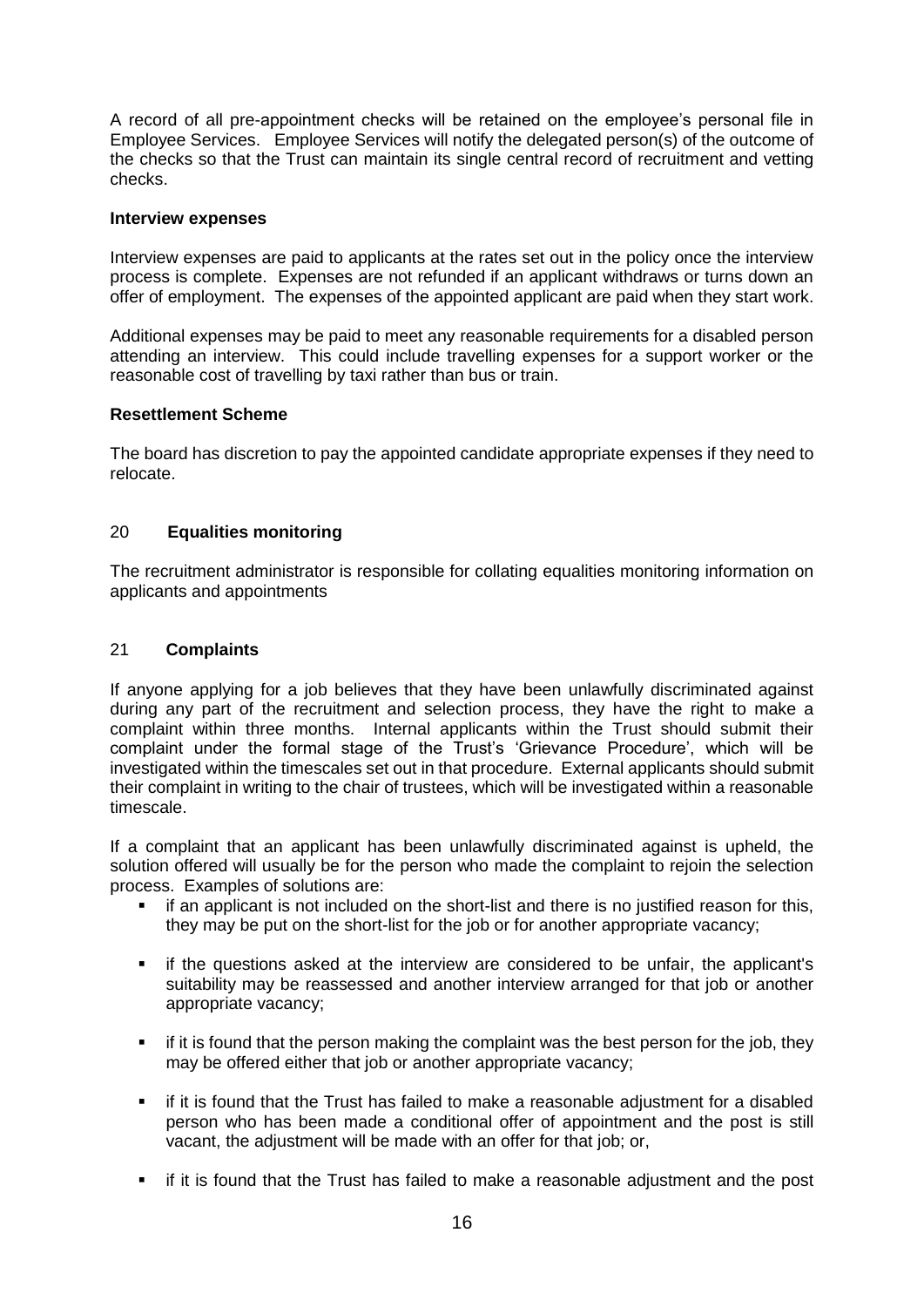A record of all pre-appointment checks will be retained on the employee's personal file in Employee Services. Employee Services will notify the delegated person(s) of the outcome of the checks so that the Trust can maintain its single central record of recruitment and vetting checks.

#### **Interview expenses**

Interview expenses are paid to applicants at the rates set out in the policy once the interview process is complete. Expenses are not refunded if an applicant withdraws or turns down an offer of employment. The expenses of the appointed applicant are paid when they start work.

Additional expenses may be paid to meet any reasonable requirements for a disabled person attending an interview. This could include travelling expenses for a support worker or the reasonable cost of travelling by taxi rather than bus or train.

# **Resettlement Scheme**

The board has discretion to pay the appointed candidate appropriate expenses if they need to relocate.

# 20 **Equalities monitoring**

The recruitment administrator is responsible for collating equalities monitoring information on applicants and appointments

# 21 **Complaints**

If anyone applying for a job believes that they have been unlawfully discriminated against during any part of the recruitment and selection process, they have the right to make a complaint within three months. Internal applicants within the Trust should submit their complaint under the formal stage of the Trust's 'Grievance Procedure', which will be investigated within the timescales set out in that procedure. External applicants should submit their complaint in writing to the chair of trustees, which will be investigated within a reasonable timescale.

If a complaint that an applicant has been unlawfully discriminated against is upheld, the solution offered will usually be for the person who made the complaint to rejoin the selection process. Examples of solutions are:

- if an applicant is not included on the short-list and there is no justified reason for this, they may be put on the short-list for the job or for another appropriate vacancy;
- if the questions asked at the interview are considered to be unfair, the applicant's suitability may be reassessed and another interview arranged for that job or another appropriate vacancy;
- **F** if it is found that the person making the complaint was the best person for the job, they may be offered either that job or another appropriate vacancy;
- if it is found that the Trust has failed to make a reasonable adjustment for a disabled person who has been made a conditional offer of appointment and the post is still vacant, the adjustment will be made with an offer for that job; or,
- if it is found that the Trust has failed to make a reasonable adjustment and the post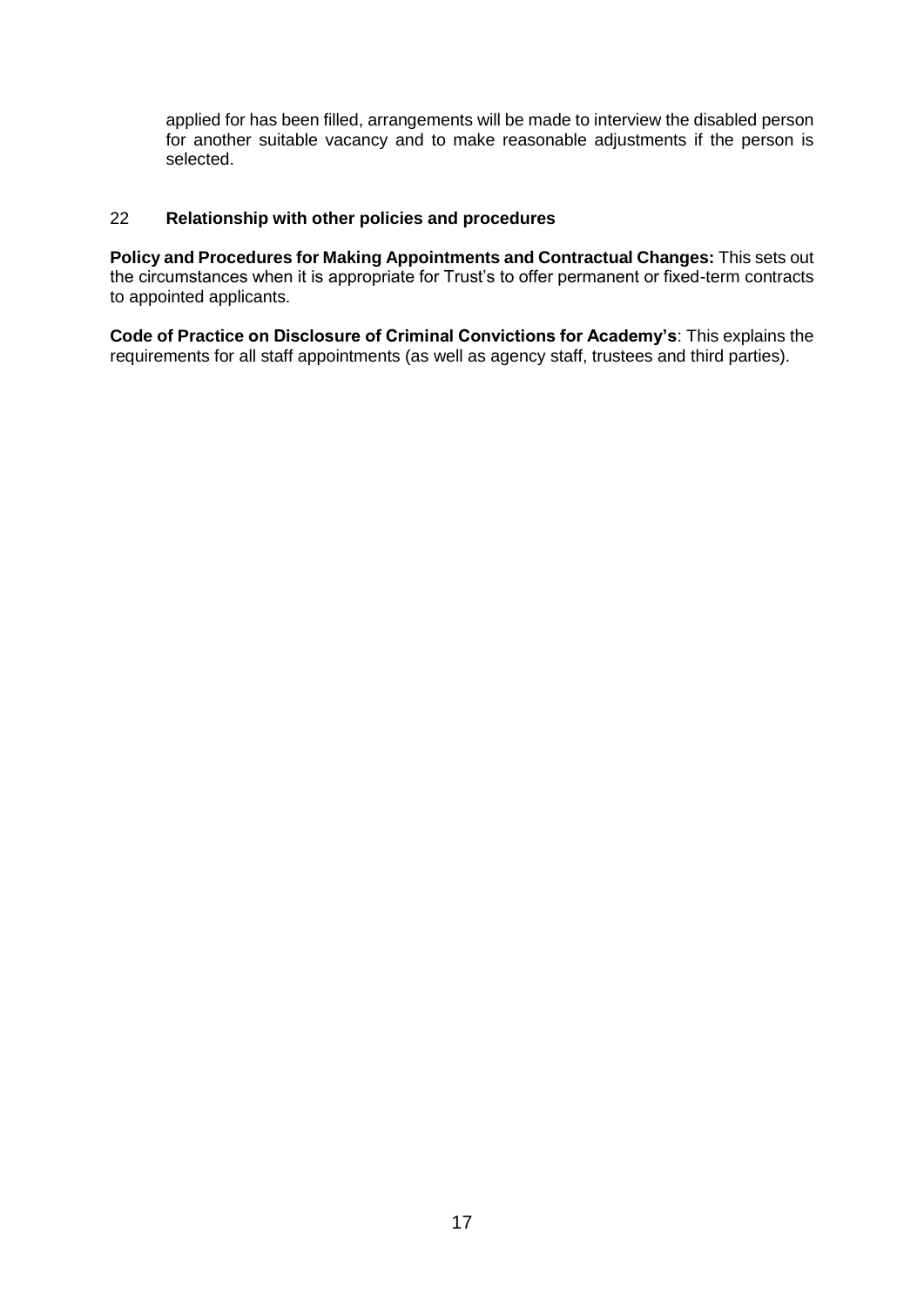applied for has been filled, arrangements will be made to interview the disabled person for another suitable vacancy and to make reasonable adjustments if the person is selected.

# 22 **Relationship with other policies and procedures**

**Policy and Procedures for Making Appointments and Contractual Changes:** This sets out the circumstances when it is appropriate for Trust's to offer permanent or fixed-term contracts to appointed applicants.

**Code of Practice on Disclosure of Criminal Convictions for Academy's**: This explains the requirements for all staff appointments (as well as agency staff, trustees and third parties).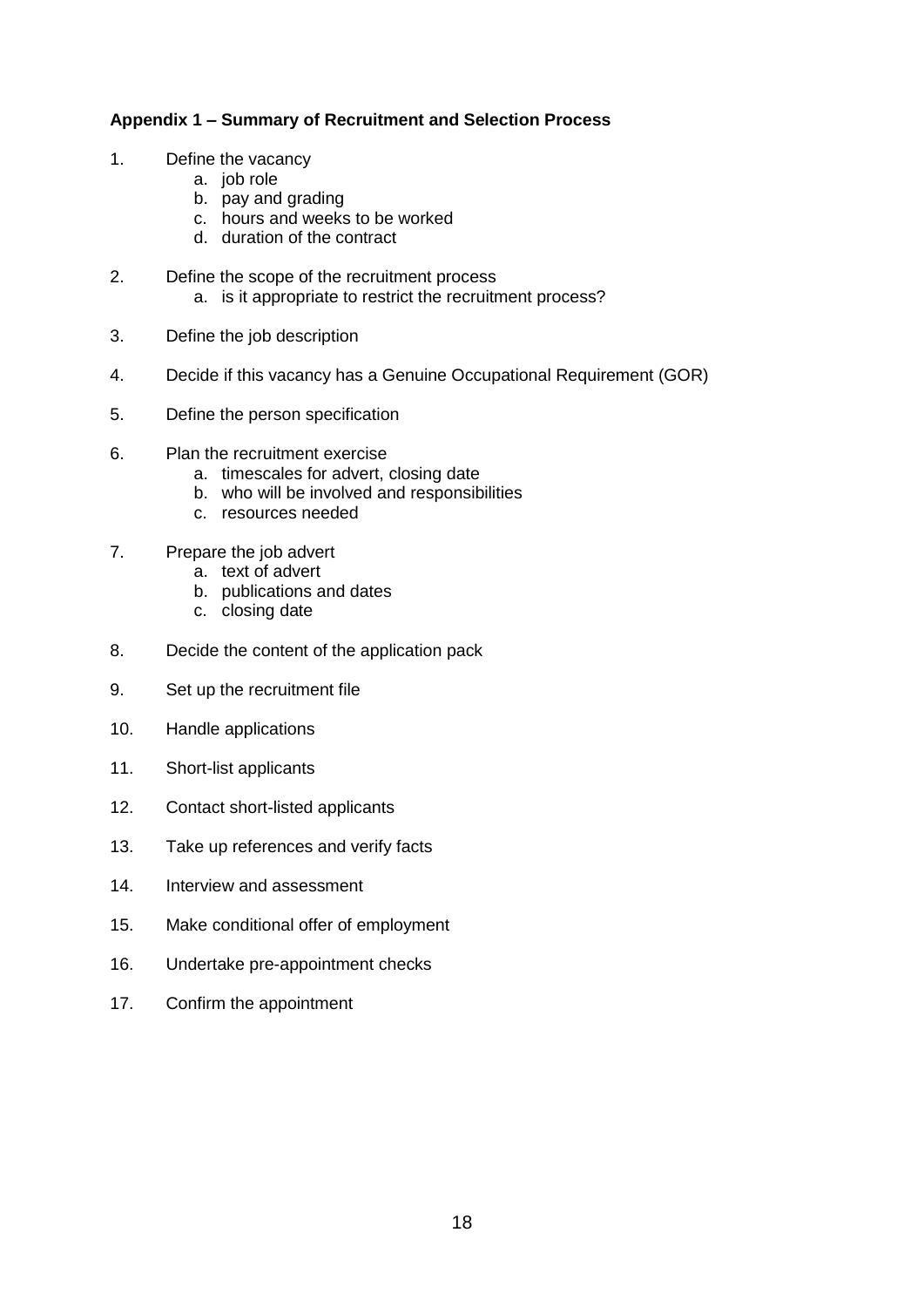# **Appendix 1 – Summary of Recruitment and Selection Process**

- 1. Define the vacancy
	- a. job role
	- b. pay and grading
	- c. hours and weeks to be worked
	- d. duration of the contract
- 2. Define the scope of the recruitment process
	- a. is it appropriate to restrict the recruitment process?
- 3. Define the job description
- 4. Decide if this vacancy has a Genuine Occupational Requirement (GOR)
- 5. Define the person specification
- 6. Plan the recruitment exercise
	- a. timescales for advert, closing date
	- b. who will be involved and responsibilities
	- c. resources needed
- 7. Prepare the job advert
	- a. text of advert
	- b. publications and dates
	- c. closing date
- 8. Decide the content of the application pack
- 9. Set up the recruitment file
- 10. Handle applications
- 11. Short-list applicants
- 12. Contact short-listed applicants
- 13. Take up references and verify facts
- 14. Interview and assessment
- 15. Make conditional offer of employment
- 16. Undertake pre-appointment checks
- 17. Confirm the appointment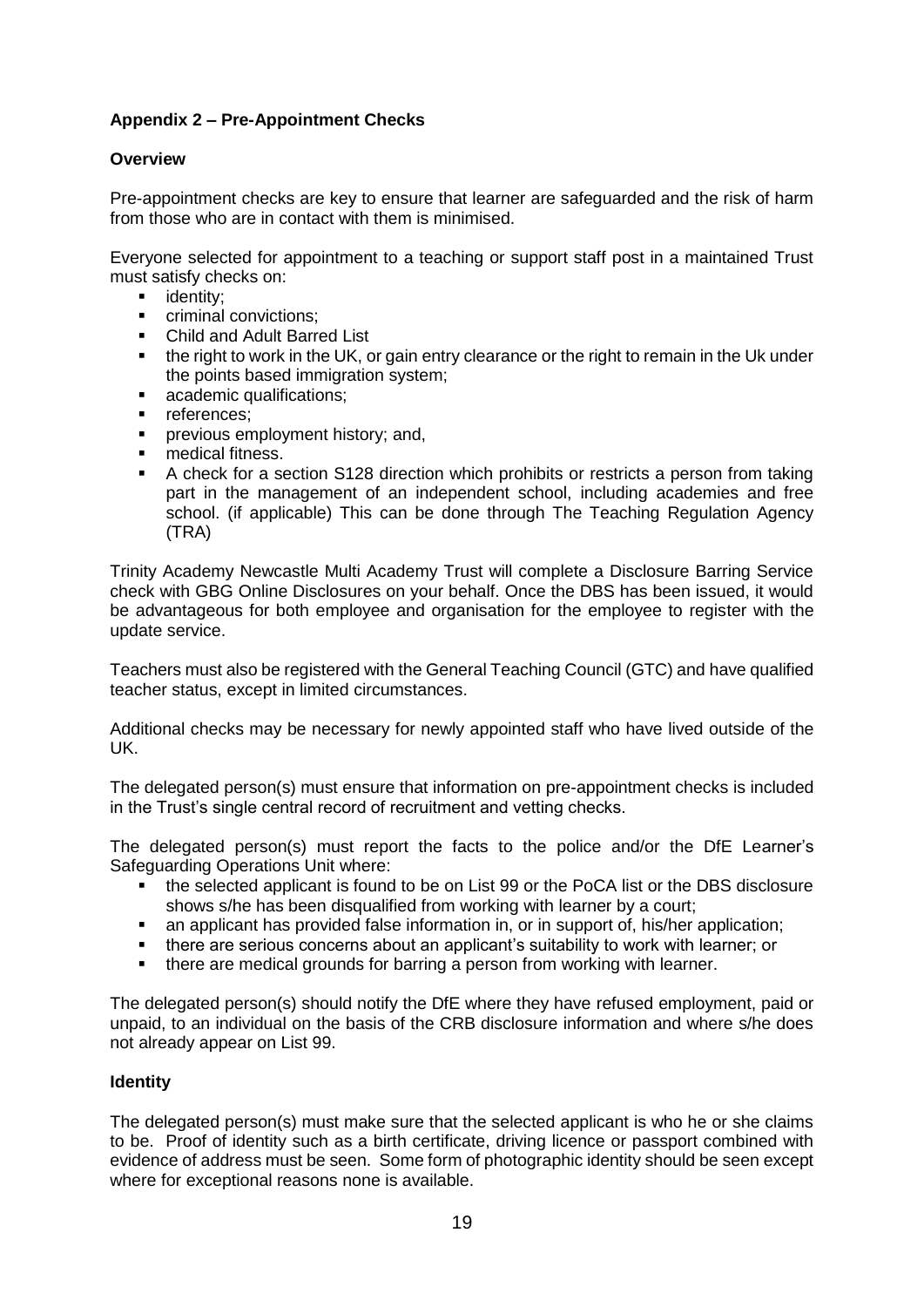# **Appendix 2 – Pre-Appointment Checks**

# **Overview**

Pre-appointment checks are key to ensure that learner are safeguarded and the risk of harm from those who are in contact with them is minimised.

Everyone selected for appointment to a teaching or support staff post in a maintained Trust must satisfy checks on:

- **u** identity:
- criminal convictions;
- Child and Adult Barred List
- **the right to work in the UK, or gain entry clearance or the right to remain in the Uk under** the points based immigration system;
- **academic qualifications;**
- **references:**
- **Peropele and intervals** previous employment history; and,
- medical fitness.
- A check for a section S128 direction which prohibits or restricts a person from taking part in the management of an independent school, including academies and free school. (if applicable) This can be done through The Teaching Regulation Agency (TRA)

Trinity Academy Newcastle Multi Academy Trust will complete a Disclosure Barring Service check with GBG Online Disclosures on your behalf. Once the DBS has been issued, it would be advantageous for both employee and organisation for the employee to register with the update service.

Teachers must also be registered with the General Teaching Council (GTC) and have qualified teacher status, except in limited circumstances.

Additional checks may be necessary for newly appointed staff who have lived outside of the UK.

The delegated person(s) must ensure that information on pre-appointment checks is included in the Trust's single central record of recruitment and vetting checks.

The delegated person(s) must report the facts to the police and/or the DfE Learner's Safeguarding Operations Unit where:

- the selected applicant is found to be on List 99 or the PoCA list or the DBS disclosure shows s/he has been disqualified from working with learner by a court;
- an applicant has provided false information in, or in support of, his/her application;
- there are serious concerns about an applicant's suitability to work with learner; or
- there are medical grounds for barring a person from working with learner.

The delegated person(s) should notify the DfE where they have refused employment, paid or unpaid, to an individual on the basis of the CRB disclosure information and where s/he does not already appear on List 99.

# **Identity**

The delegated person(s) must make sure that the selected applicant is who he or she claims to be. Proof of identity such as a birth certificate, driving licence or passport combined with evidence of address must be seen. Some form of photographic identity should be seen except where for exceptional reasons none is available.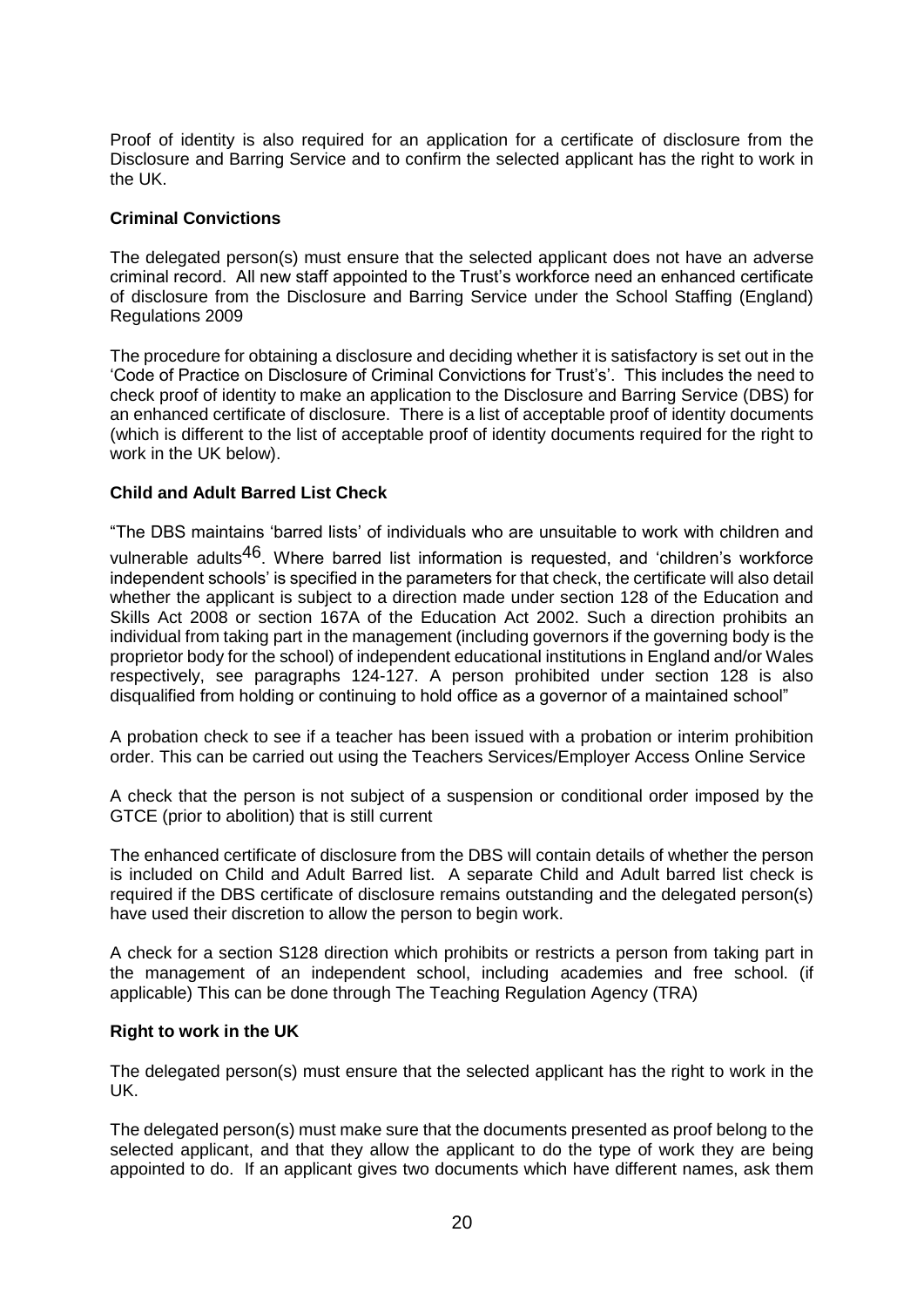Proof of identity is also required for an application for a certificate of disclosure from the Disclosure and Barring Service and to confirm the selected applicant has the right to work in the UK.

# **Criminal Convictions**

The delegated person(s) must ensure that the selected applicant does not have an adverse criminal record. All new staff appointed to the Trust's workforce need an enhanced certificate of disclosure from the Disclosure and Barring Service under the School Staffing (England) Regulations 2009

The procedure for obtaining a disclosure and deciding whether it is satisfactory is set out in the 'Code of Practice on Disclosure of Criminal Convictions for Trust's'. This includes the need to check proof of identity to make an application to the Disclosure and Barring Service (DBS) for an enhanced certificate of disclosure. There is a list of acceptable proof of identity documents (which is different to the list of acceptable proof of identity documents required for the right to work in the UK below).

# **Child and Adult Barred List Check**

"The DBS maintains 'barred lists' of individuals who are unsuitable to work with children and

vulnerable adults<sup>46</sup>. Where barred list information is requested, and 'children's workforce independent schools' is specified in the parameters for that check, the certificate will also detail whether the applicant is subject to a direction made under section 128 of the Education and Skills Act 2008 or section 167A of the Education Act 2002. Such a direction prohibits an individual from taking part in the management (including governors if the governing body is the proprietor body for the school) of independent educational institutions in England and/or Wales respectively, see paragraphs 124-127. A person prohibited under section 128 is also disqualified from holding or continuing to hold office as a governor of a maintained school"

A probation check to see if a teacher has been issued with a probation or interim prohibition order. This can be carried out using the Teachers Services/Employer Access Online Service

A check that the person is not subject of a suspension or conditional order imposed by the GTCE (prior to abolition) that is still current

The enhanced certificate of disclosure from the DBS will contain details of whether the person is included on Child and Adult Barred list. A separate Child and Adult barred list check is required if the DBS certificate of disclosure remains outstanding and the delegated person(s) have used their discretion to allow the person to begin work.

A check for a section S128 direction which prohibits or restricts a person from taking part in the management of an independent school, including academies and free school. (if applicable) This can be done through The Teaching Regulation Agency (TRA)

# **Right to work in the UK**

The delegated person(s) must ensure that the selected applicant has the right to work in the UK.

The delegated person(s) must make sure that the documents presented as proof belong to the selected applicant, and that they allow the applicant to do the type of work they are being appointed to do. If an applicant gives two documents which have different names, ask them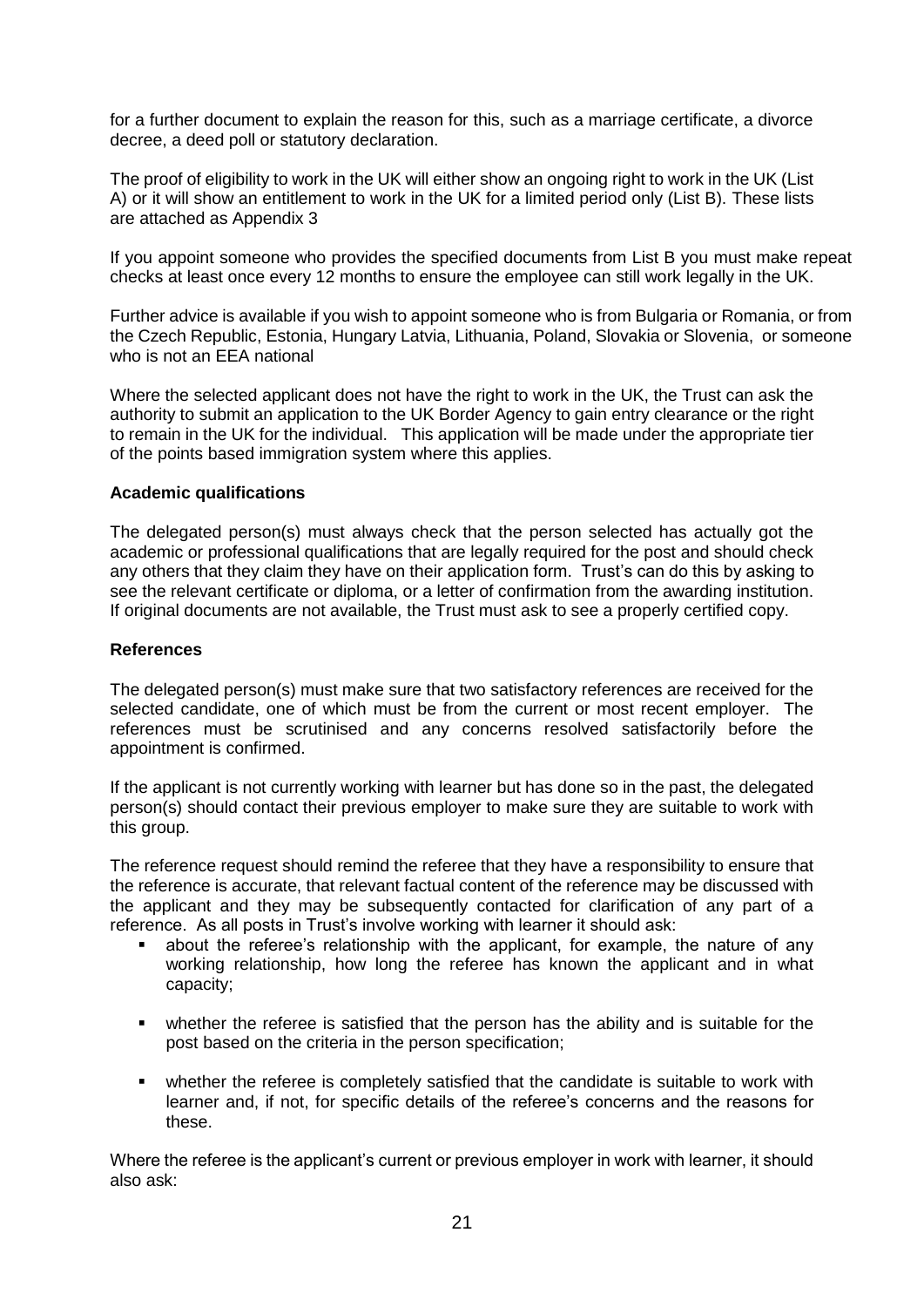for a further document to explain the reason for this, such as a marriage certificate, a divorce decree, a deed poll or statutory declaration.

The proof of eligibility to work in the UK will either show an ongoing right to work in the UK (List A) or it will show an entitlement to work in the UK for a limited period only (List B). These lists are attached as Appendix 3

If you appoint someone who provides the specified documents from List B you must make repeat checks at least once every 12 months to ensure the employee can still work legally in the UK.

Further advice is available if you wish to appoint someone who is from Bulgaria or Romania, or from the Czech Republic, Estonia, Hungary Latvia, Lithuania, Poland, Slovakia or Slovenia, or someone who is not an EEA national

Where the selected applicant does not have the right to work in the UK, the Trust can ask the authority to submit an application to the UK Border Agency to gain entry clearance or the right to remain in the UK for the individual. This application will be made under the appropriate tier of the points based immigration system where this applies.

# **Academic qualifications**

The delegated person(s) must always check that the person selected has actually got the academic or professional qualifications that are legally required for the post and should check any others that they claim they have on their application form. Trust's can do this by asking to see the relevant certificate or diploma, or a letter of confirmation from the awarding institution. If original documents are not available, the Trust must ask to see a properly certified copy.

#### **References**

The delegated person(s) must make sure that two satisfactory references are received for the selected candidate, one of which must be from the current or most recent employer. The references must be scrutinised and any concerns resolved satisfactorily before the appointment is confirmed.

If the applicant is not currently working with learner but has done so in the past, the delegated person(s) should contact their previous employer to make sure they are suitable to work with this group.

The reference request should remind the referee that they have a responsibility to ensure that the reference is accurate, that relevant factual content of the reference may be discussed with the applicant and they may be subsequently contacted for clarification of any part of a reference. As all posts in Trust's involve working with learner it should ask:

- about the referee's relationship with the applicant, for example, the nature of any working relationship, how long the referee has known the applicant and in what capacity;
- whether the referee is satisfied that the person has the ability and is suitable for the post based on the criteria in the person specification;
- whether the referee is completely satisfied that the candidate is suitable to work with learner and, if not, for specific details of the referee's concerns and the reasons for these.

Where the referee is the applicant's current or previous employer in work with learner, it should also ask: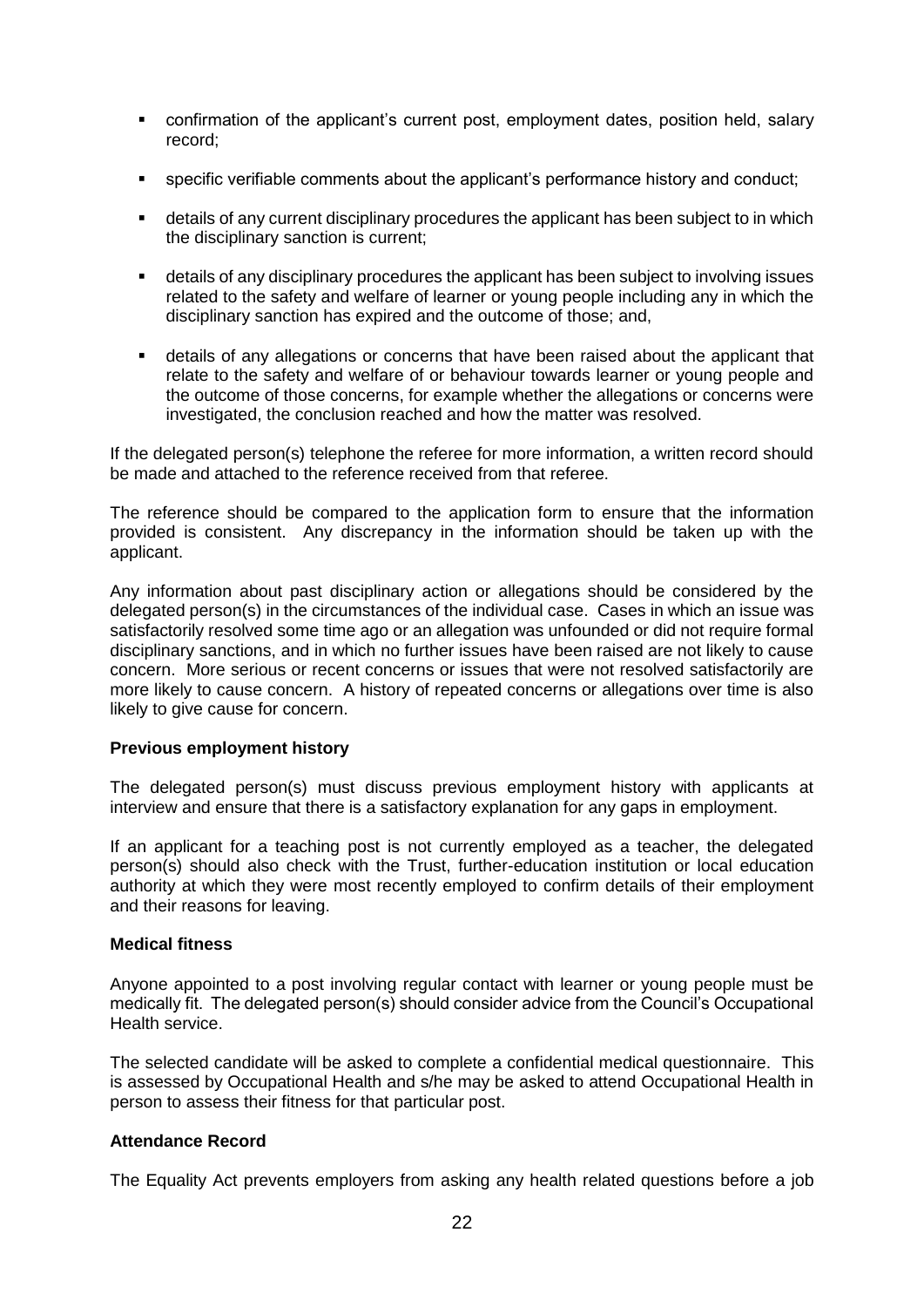- confirmation of the applicant's current post, employment dates, position held, salary record;
- specific verifiable comments about the applicant's performance history and conduct;
- details of any current disciplinary procedures the applicant has been subject to in which the disciplinary sanction is current;
- details of any disciplinary procedures the applicant has been subject to involving issues related to the safety and welfare of learner or young people including any in which the disciplinary sanction has expired and the outcome of those; and,
- details of any allegations or concerns that have been raised about the applicant that relate to the safety and welfare of or behaviour towards learner or young people and the outcome of those concerns, for example whether the allegations or concerns were investigated, the conclusion reached and how the matter was resolved.

If the delegated person(s) telephone the referee for more information, a written record should be made and attached to the reference received from that referee.

The reference should be compared to the application form to ensure that the information provided is consistent. Any discrepancy in the information should be taken up with the applicant.

Any information about past disciplinary action or allegations should be considered by the delegated person(s) in the circumstances of the individual case. Cases in which an issue was satisfactorily resolved some time ago or an allegation was unfounded or did not require formal disciplinary sanctions, and in which no further issues have been raised are not likely to cause concern. More serious or recent concerns or issues that were not resolved satisfactorily are more likely to cause concern. A history of repeated concerns or allegations over time is also likely to give cause for concern.

# **Previous employment history**

The delegated person(s) must discuss previous employment history with applicants at interview and ensure that there is a satisfactory explanation for any gaps in employment.

If an applicant for a teaching post is not currently employed as a teacher, the delegated person(s) should also check with the Trust, further-education institution or local education authority at which they were most recently employed to confirm details of their employment and their reasons for leaving.

#### **Medical fitness**

Anyone appointed to a post involving regular contact with learner or young people must be medically fit. The delegated person(s) should consider advice from the Council's Occupational Health service.

The selected candidate will be asked to complete a confidential medical questionnaire. This is assessed by Occupational Health and s/he may be asked to attend Occupational Health in person to assess their fitness for that particular post.

# **Attendance Record**

The Equality Act prevents employers from asking any health related questions before a job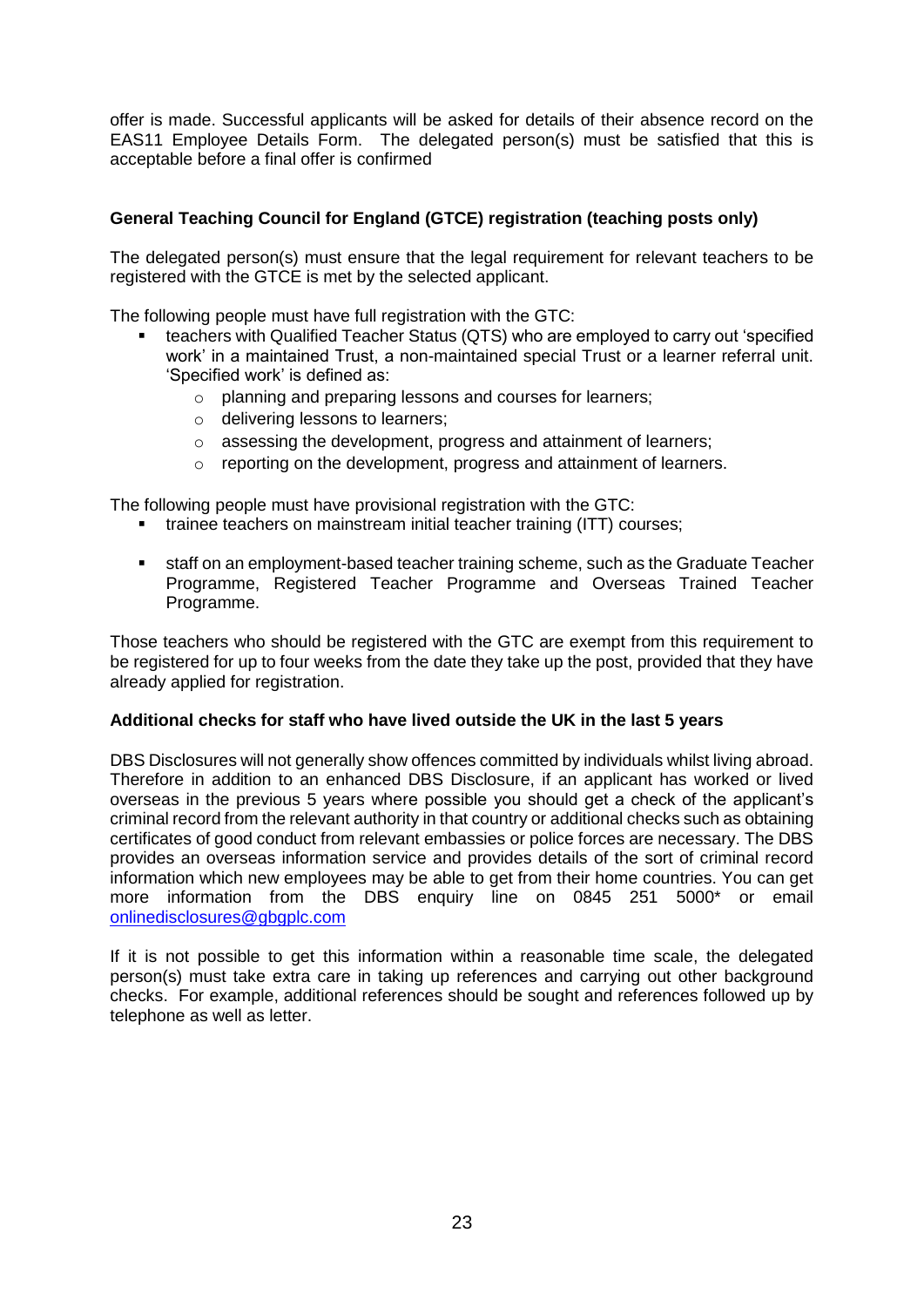offer is made. Successful applicants will be asked for details of their absence record on the EAS11 Employee Details Form. The delegated person(s) must be satisfied that this is acceptable before a final offer is confirmed

# **General Teaching Council for England (GTCE) registration (teaching posts only)**

The delegated person(s) must ensure that the legal requirement for relevant teachers to be registered with the GTCE is met by the selected applicant.

The following people must have full registration with the GTC:

- teachers with Qualified Teacher Status (QTS) who are employed to carry out 'specified work' in a maintained Trust, a non-maintained special Trust or a learner referral unit. 'Specified work' is defined as:
	- o planning and preparing lessons and courses for learners;
	- o delivering lessons to learners;
	- o assessing the development, progress and attainment of learners;
	- o reporting on the development, progress and attainment of learners.

The following people must have provisional registration with the GTC:

- **trainee teachers on mainstream initial teacher training (ITT) courses;**
- staff on an employment-based teacher training scheme, such as the Graduate Teacher Programme, Registered Teacher Programme and Overseas Trained Teacher Programme.

Those teachers who should be registered with the GTC are exempt from this requirement to be registered for up to four weeks from the date they take up the post, provided that they have already applied for registration.

#### **Additional checks for staff who have lived outside the UK in the last 5 years**

DBS Disclosures will not generally show offences committed by individuals whilst living abroad. Therefore in addition to an enhanced DBS Disclosure, if an applicant has worked or lived overseas in the previous 5 years where possible you should get a check of the applicant's criminal record from the relevant authority in that country or additional checks such as obtaining certificates of good conduct from relevant embassies or police forces are necessary. The DBS provides an overseas information service and provides details of the sort of criminal record information which new employees may be able to get from their home countries. You can get more information from the DBS enquiry line on 0845 251 5000\* or email onlinedisclosures@gbaplc.com

If it is not possible to get this information within a reasonable time scale, the delegated person(s) must take extra care in taking up references and carrying out other background checks. For example, additional references should be sought and references followed up by telephone as well as letter.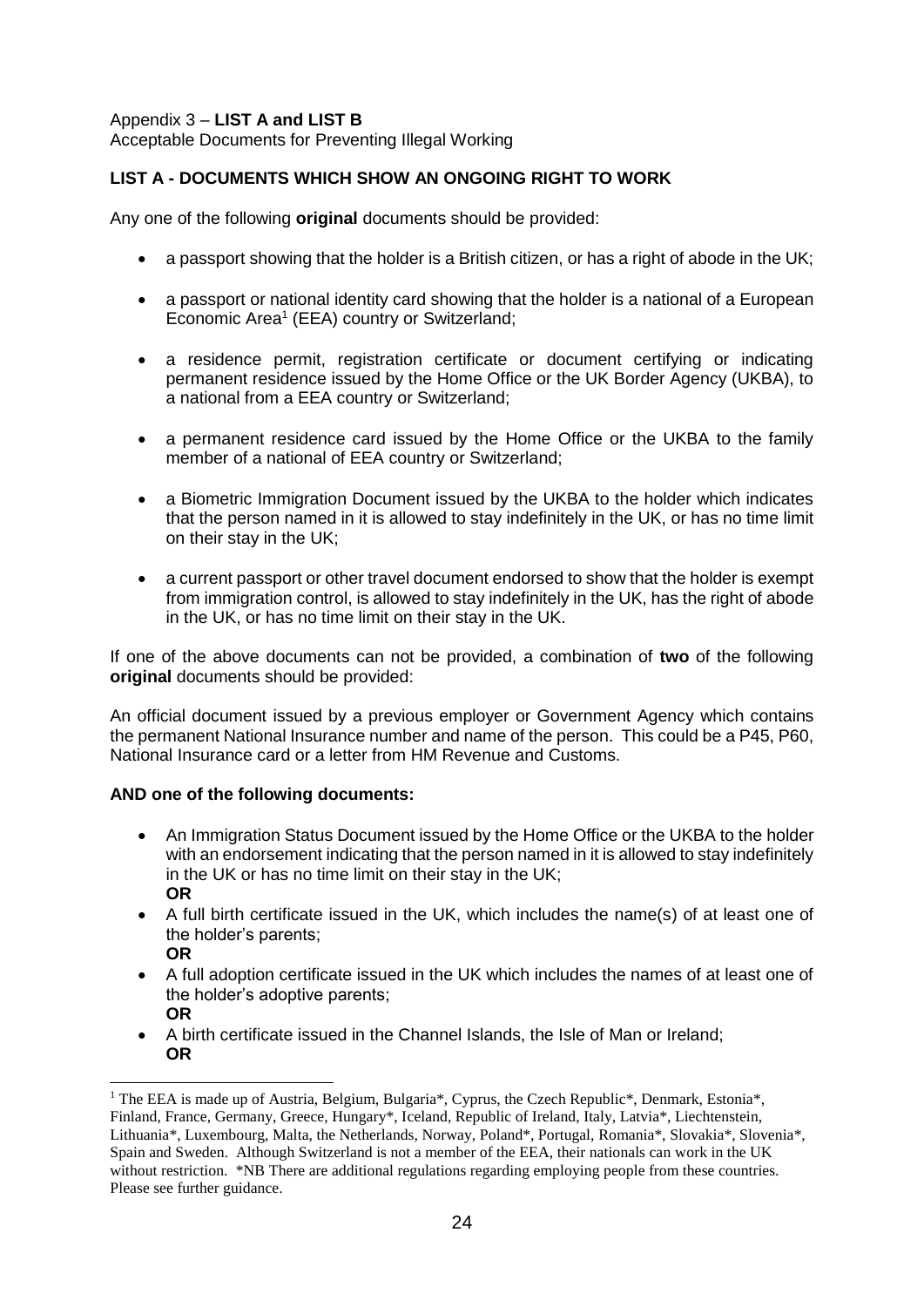# Appendix 3 – **LIST A and LIST B**

Acceptable Documents for Preventing Illegal Working

# **LIST A - DOCUMENTS WHICH SHOW AN ONGOING RIGHT TO WORK**

Any one of the following **original** documents should be provided:

- a passport showing that the holder is a British citizen, or has a right of abode in the UK;
- a passport or national identity card showing that the holder is a national of a European Economic Area<sup>1</sup> (EEA) country or Switzerland;
- a residence permit, registration certificate or document certifying or indicating permanent residence issued by the Home Office or the UK Border Agency (UKBA), to a national from a EEA country or Switzerland;
- a permanent residence card issued by the Home Office or the UKBA to the family member of a national of EEA country or Switzerland;
- a Biometric Immigration Document issued by the UKBA to the holder which indicates that the person named in it is allowed to stay indefinitely in the UK, or has no time limit on their stay in the UK;
- a current passport or other travel document endorsed to show that the holder is exempt from immigration control, is allowed to stay indefinitely in the UK, has the right of abode in the UK, or has no time limit on their stay in the UK.

If one of the above documents can not be provided, a combination of **two** of the following **original** documents should be provided:

An official document issued by a previous employer or Government Agency which contains the permanent National Insurance number and name of the person. This could be a P45, P60, National Insurance card or a letter from HM Revenue and Customs.

# **AND one of the following documents:**

l

- An Immigration Status Document issued by the Home Office or the UKBA to the holder with an endorsement indicating that the person named in it is allowed to stay indefinitely in the UK or has no time limit on their stay in the UK; **OR**
- A full birth certificate issued in the UK, which includes the name(s) of at least one of the holder's parents; **OR**
- A full adoption certificate issued in the UK which includes the names of at least one of the holder's adoptive parents; **OR**
- A birth certificate issued in the Channel Islands, the Isle of Man or Ireland; **OR**

<sup>&</sup>lt;sup>1</sup> The EEA is made up of Austria, Belgium, Bulgaria\*, Cyprus, the Czech Republic\*, Denmark, Estonia\*, Finland, France, Germany, Greece, Hungary\*, Iceland, Republic of Ireland, Italy, Latvia\*, Liechtenstein, Lithuania\*, Luxembourg, Malta, the Netherlands, Norway, Poland\*, Portugal, Romania\*, Slovakia\*, Slovenia\*, Spain and Sweden. Although Switzerland is not a member of the EEA, their nationals can work in the UK without restriction. \*NB There are additional regulations regarding employing people from these countries. Please see further guidance.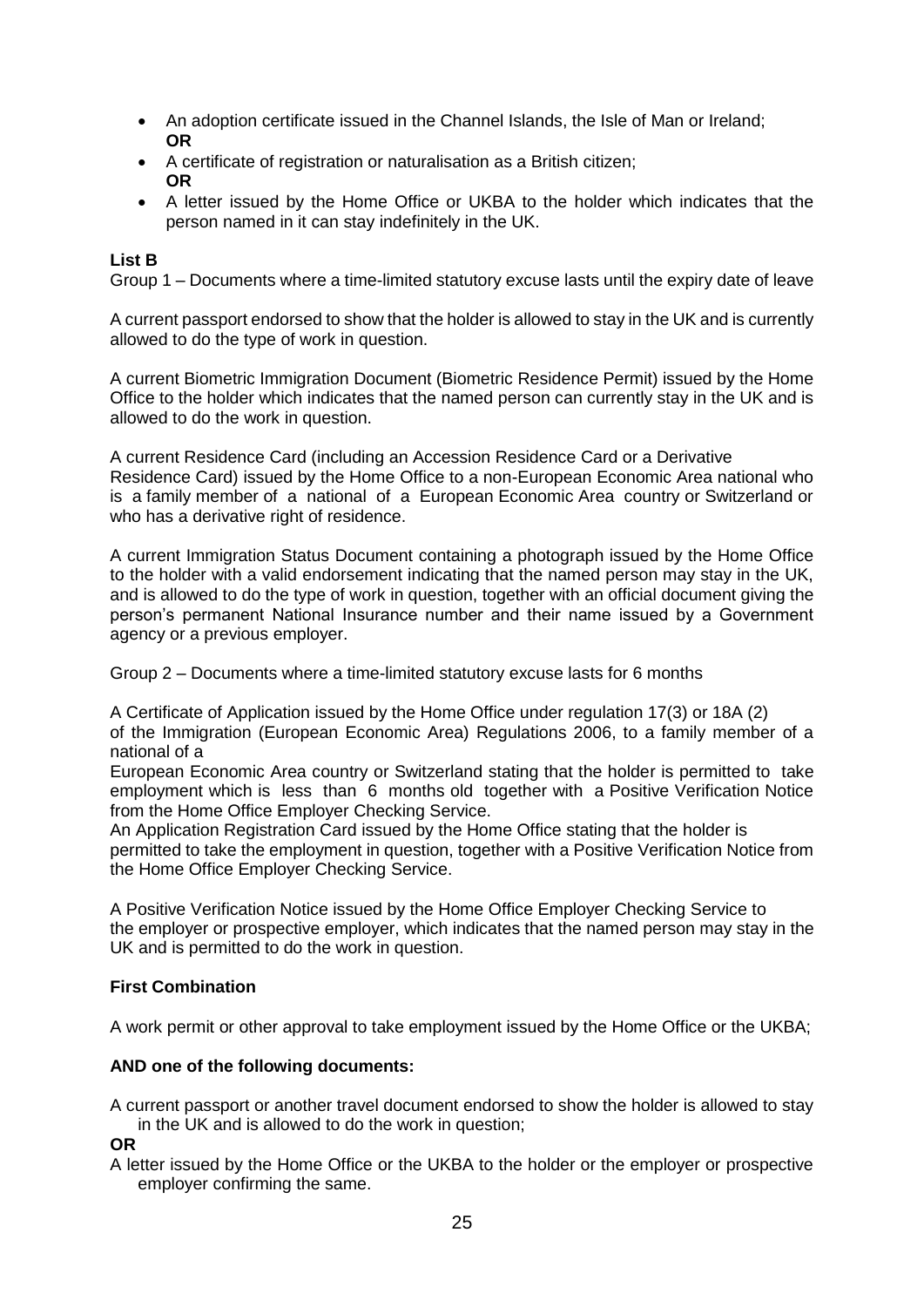- An adoption certificate issued in the Channel Islands, the Isle of Man or Ireland; **OR**
- A certificate of registration or naturalisation as a British citizen; **OR**
- A letter issued by the Home Office or UKBA to the holder which indicates that the person named in it can stay indefinitely in the UK.

# **List B**

Group 1 – Documents where a time-limited statutory excuse lasts until the expiry date of leave

A current passport endorsed to show that the holder is allowed to stay in the UK and is currently allowed to do the type of work in question.

A current Biometric Immigration Document (Biometric Residence Permit) issued by the Home Office to the holder which indicates that the named person can currently stay in the UK and is allowed to do the work in question.

A current Residence Card (including an Accession Residence Card or a Derivative Residence Card) issued by the Home Office to a non-European Economic Area national who is a family member of a national of a European Economic Area country or Switzerland or who has a derivative right of residence.

A current Immigration Status Document containing a photograph issued by the Home Office to the holder with a valid endorsement indicating that the named person may stay in the UK, and is allowed to do the type of work in question, together with an official document giving the person's permanent National Insurance number and their name issued by a Government agency or a previous employer.

Group 2 – Documents where a time-limited statutory excuse lasts for 6 months

A Certificate of Application issued by the Home Office under regulation 17(3) or 18A (2) of the Immigration (European Economic Area) Regulations 2006, to a family member of a national of a

European Economic Area country or Switzerland stating that the holder is permitted to take employment which is less than 6 months old together with a Positive Verification Notice from the Home Office Employer Checking Service.

An Application Registration Card issued by the Home Office stating that the holder is permitted to take the employment in question, together with a Positive Verification Notice from the Home Office Employer Checking Service.

A Positive Verification Notice issued by the Home Office Employer Checking Service to the employer or prospective employer, which indicates that the named person may stay in the UK and is permitted to do the work in question.

# **First Combination**

A work permit or other approval to take employment issued by the Home Office or the UKBA;

# **AND one of the following documents:**

A current passport or another travel document endorsed to show the holder is allowed to stay in the UK and is allowed to do the work in question;

**OR**

A letter issued by the Home Office or the UKBA to the holder or the employer or prospective employer confirming the same.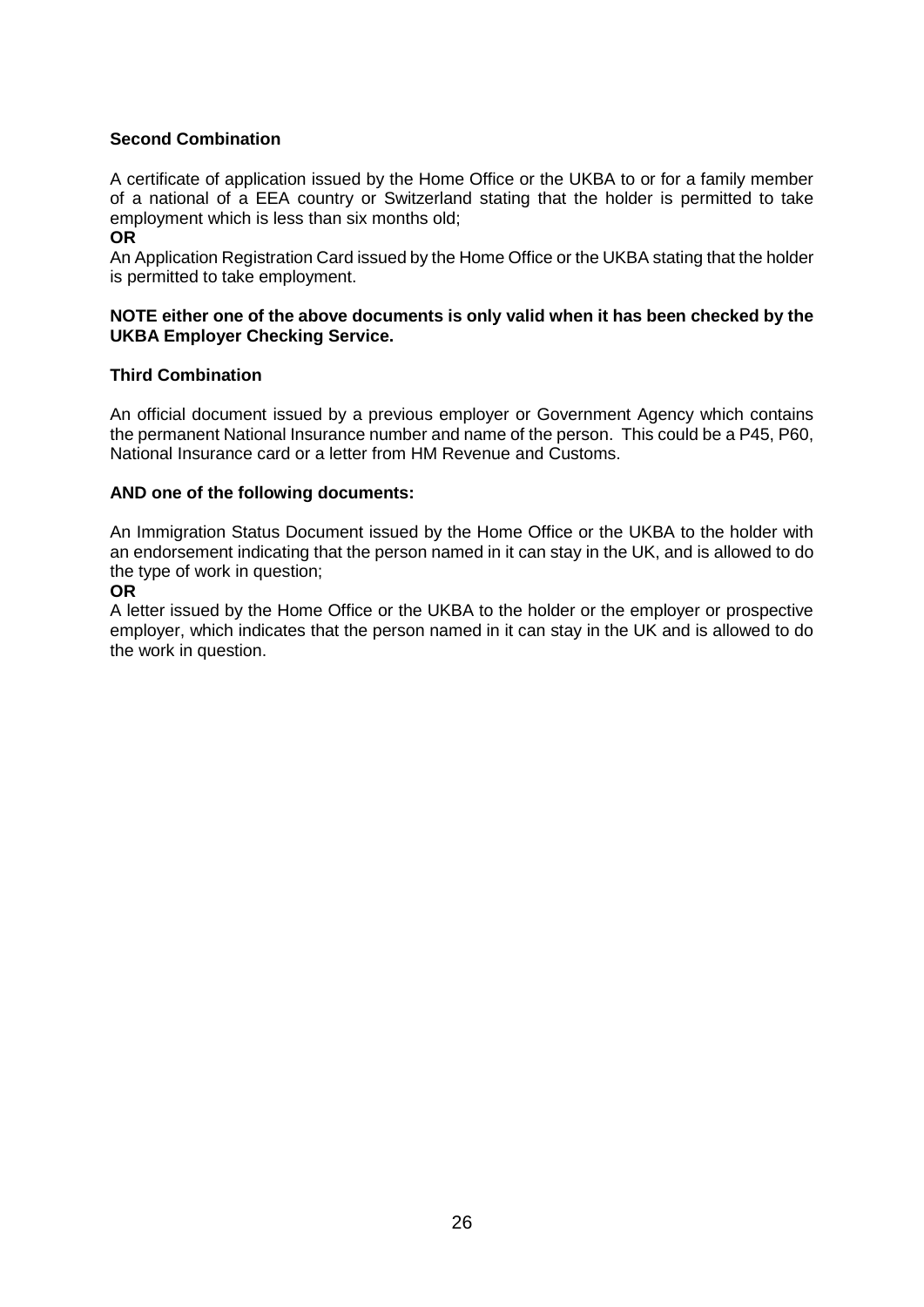# **Second Combination**

A certificate of application issued by the Home Office or the UKBA to or for a family member of a national of a EEA country or Switzerland stating that the holder is permitted to take employment which is less than six months old;

#### **OR**

An Application Registration Card issued by the Home Office or the UKBA stating that the holder is permitted to take employment.

#### **NOTE either one of the above documents is only valid when it has been checked by the UKBA Employer Checking Service.**

#### **Third Combination**

An official document issued by a previous employer or Government Agency which contains the permanent National Insurance number and name of the person. This could be a P45, P60, National Insurance card or a letter from HM Revenue and Customs.

#### **AND one of the following documents:**

An Immigration Status Document issued by the Home Office or the UKBA to the holder with an endorsement indicating that the person named in it can stay in the UK, and is allowed to do the type of work in question;

#### **OR**

A letter issued by the Home Office or the UKBA to the holder or the employer or prospective employer, which indicates that the person named in it can stay in the UK and is allowed to do the work in question.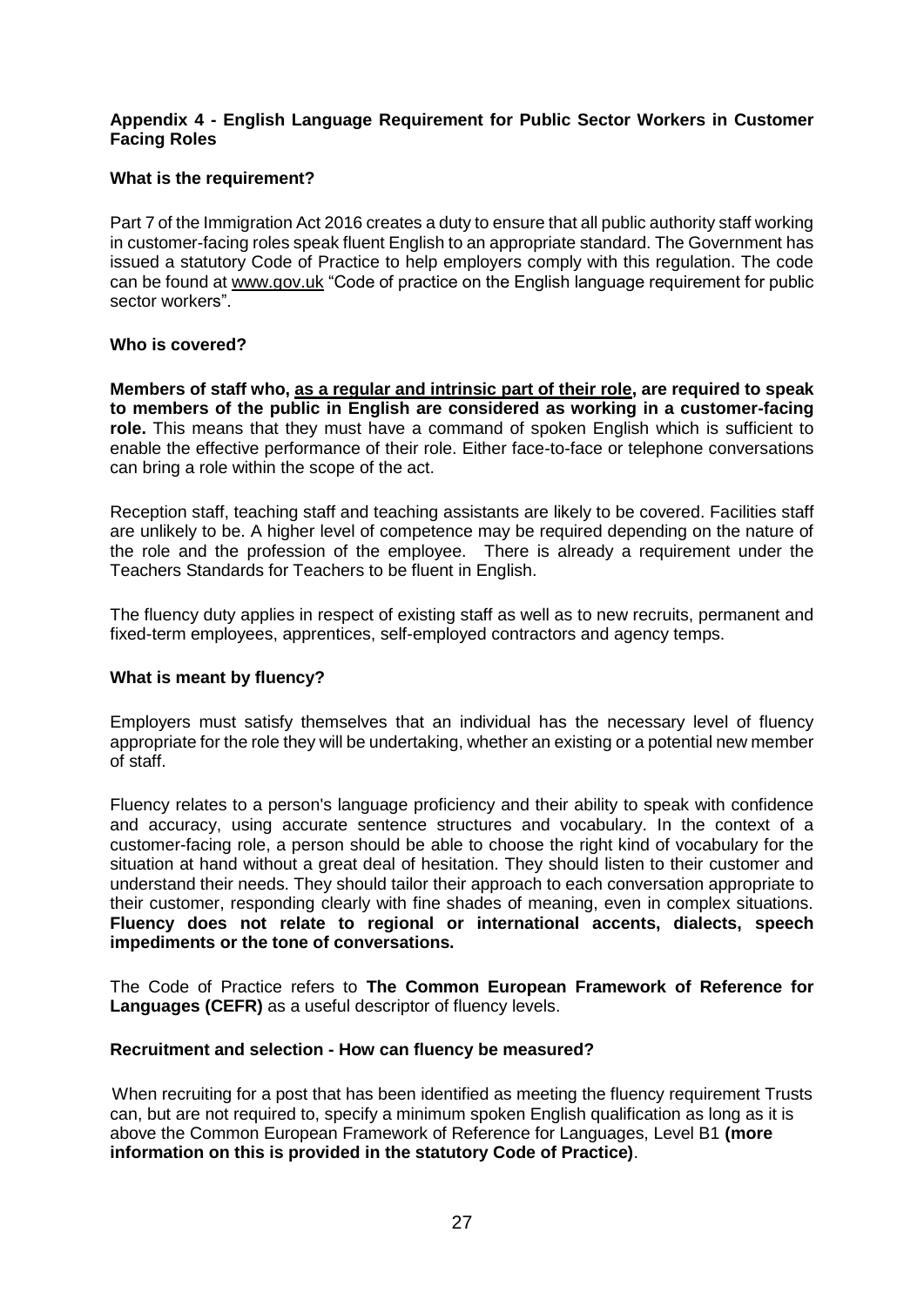## **Appendix 4 - English Language Requirement for Public Sector Workers in Customer Facing Roles**

# **What is the requirement?**

Part 7 of the Immigration Act 2016 creates a duty to ensure that all public authority staff working in customer-facing roles speak fluent English to an appropriate standard. The Government has issued a statutory Code of Practice to help employers comply with this regulation. The code can be found at [www.gov.uk](http://www.gov.uk/) "Code of practice on the English language requirement for public sector workers".

# **Who is covered?**

**Members of staff who, as a regular and intrinsic part of their role, are required to speak to members of the public in English are considered as working in a customer-facing role.** This means that they must have a command of spoken English which is sufficient to enable the effective performance of their role. Either face-to-face or telephone conversations can bring a role within the scope of the act.

Reception staff, teaching staff and teaching assistants are likely to be covered. Facilities staff are unlikely to be. A higher level of competence may be required depending on the nature of the role and the profession of the employee. There is already a requirement under the Teachers Standards for Teachers to be fluent in English.

The fluency duty applies in respect of existing staff as well as to new recruits, permanent and fixed-term employees, apprentices, self-employed contractors and agency temps.

# **What is meant by fluency?**

Employers must satisfy themselves that an individual has the necessary level of fluency appropriate for the role they will be undertaking, whether an existing or a potential new member of staff.

Fluency relates to a person's language proficiency and their ability to speak with confidence and accuracy, using accurate sentence structures and vocabulary. In the context of a customer-facing role, a person should be able to choose the right kind of vocabulary for the situation at hand without a great deal of hesitation. They should listen to their customer and understand their needs. They should tailor their approach to each conversation appropriate to their customer, responding clearly with fine shades of meaning, even in complex situations. **Fluency does not relate to regional or international accents, dialects, speech impediments or the tone of conversations.** 

The Code of Practice refers to **The Common European Framework of Reference for Languages (CEFR)** as a useful descriptor of fluency levels.

#### **Recruitment and selection - How can fluency be measured?**

 When recruiting for a post that has been identified as meeting the fluency requirement Trusts can, but are not required to, specify a minimum spoken English qualification as long as it is above the Common European Framework of Reference for Languages, Level B1 **(more information on this is provided in the statutory Code of Practice)**.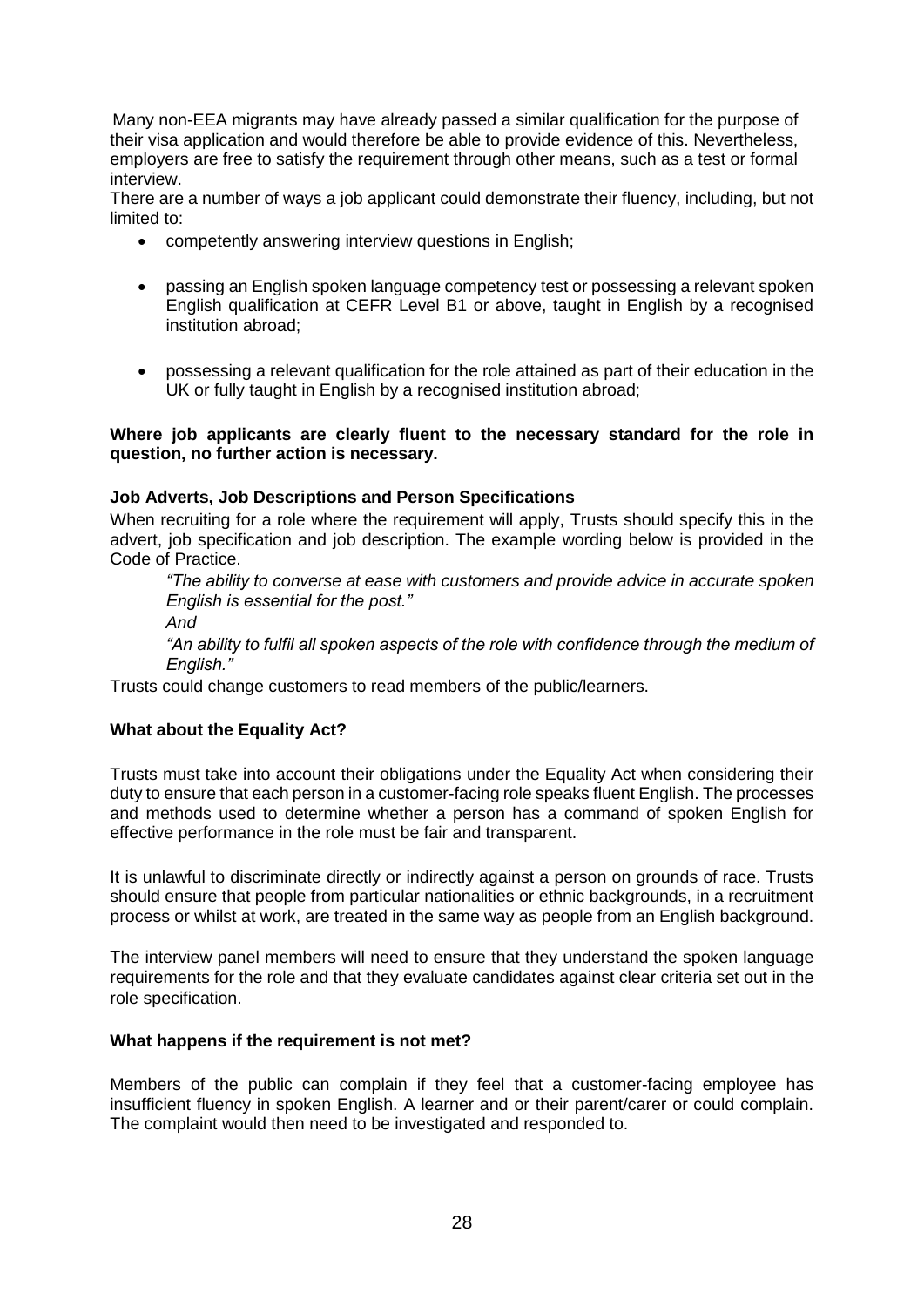Many non-EEA migrants may have already passed a similar qualification for the purpose of their visa application and would therefore be able to provide evidence of this. Nevertheless, employers are free to satisfy the requirement through other means, such as a test or formal interview.

There are a number of ways a job applicant could demonstrate their fluency, including, but not limited to:

- competently answering interview questions in English;
- passing an English spoken language competency test or possessing a relevant spoken English qualification at CEFR Level B1 or above, taught in English by a recognised institution abroad;
- possessing a relevant qualification for the role attained as part of their education in the UK or fully taught in English by a recognised institution abroad;

#### **Where job applicants are clearly fluent to the necessary standard for the role in question, no further action is necessary.**

# **Job Adverts, Job Descriptions and Person Specifications**

When recruiting for a role where the requirement will apply, Trusts should specify this in the advert, job specification and job description. The example wording below is provided in the Code of Practice.

*"The ability to converse at ease with customers and provide advice in accurate spoken English is essential for the post."* 

*And* 

*"An ability to fulfil all spoken aspects of the role with confidence through the medium of English."* 

Trusts could change customers to read members of the public/learners.

# **What about the Equality Act?**

Trusts must take into account their obligations under the Equality Act when considering their duty to ensure that each person in a customer-facing role speaks fluent English. The processes and methods used to determine whether a person has a command of spoken English for effective performance in the role must be fair and transparent.

It is unlawful to discriminate directly or indirectly against a person on grounds of race. Trusts should ensure that people from particular nationalities or ethnic backgrounds, in a recruitment process or whilst at work, are treated in the same way as people from an English background.

The interview panel members will need to ensure that they understand the spoken language requirements for the role and that they evaluate candidates against clear criteria set out in the role specification.

# **What happens if the requirement is not met?**

Members of the public can complain if they feel that a customer-facing employee has insufficient fluency in spoken English. A learner and or their parent/carer or could complain. The complaint would then need to be investigated and responded to.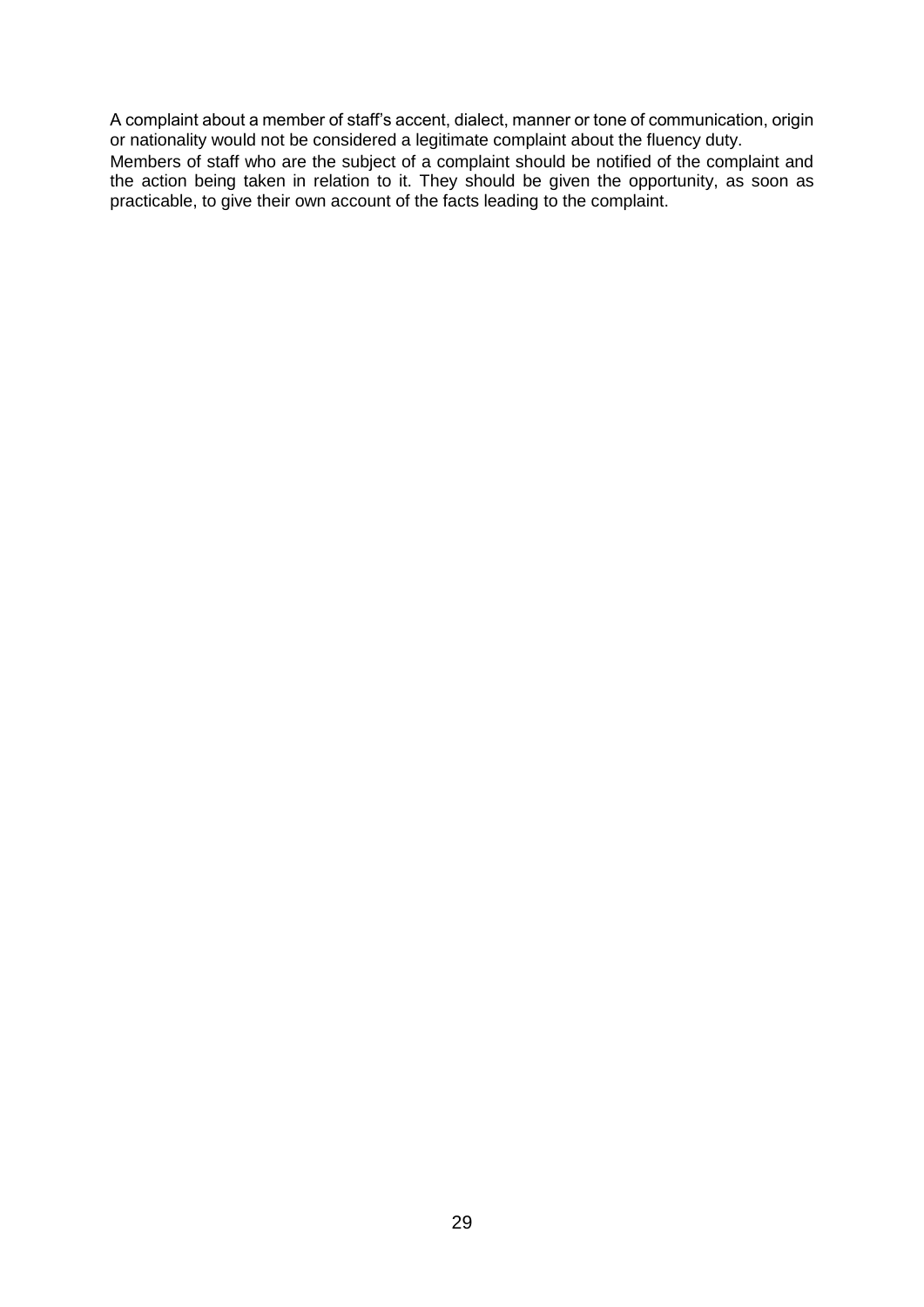A complaint about a member of staff's accent, dialect, manner or tone of communication, origin or nationality would not be considered a legitimate complaint about the fluency duty.

Members of staff who are the subject of a complaint should be notified of the complaint and the action being taken in relation to it. They should be given the opportunity, as soon as practicable, to give their own account of the facts leading to the complaint.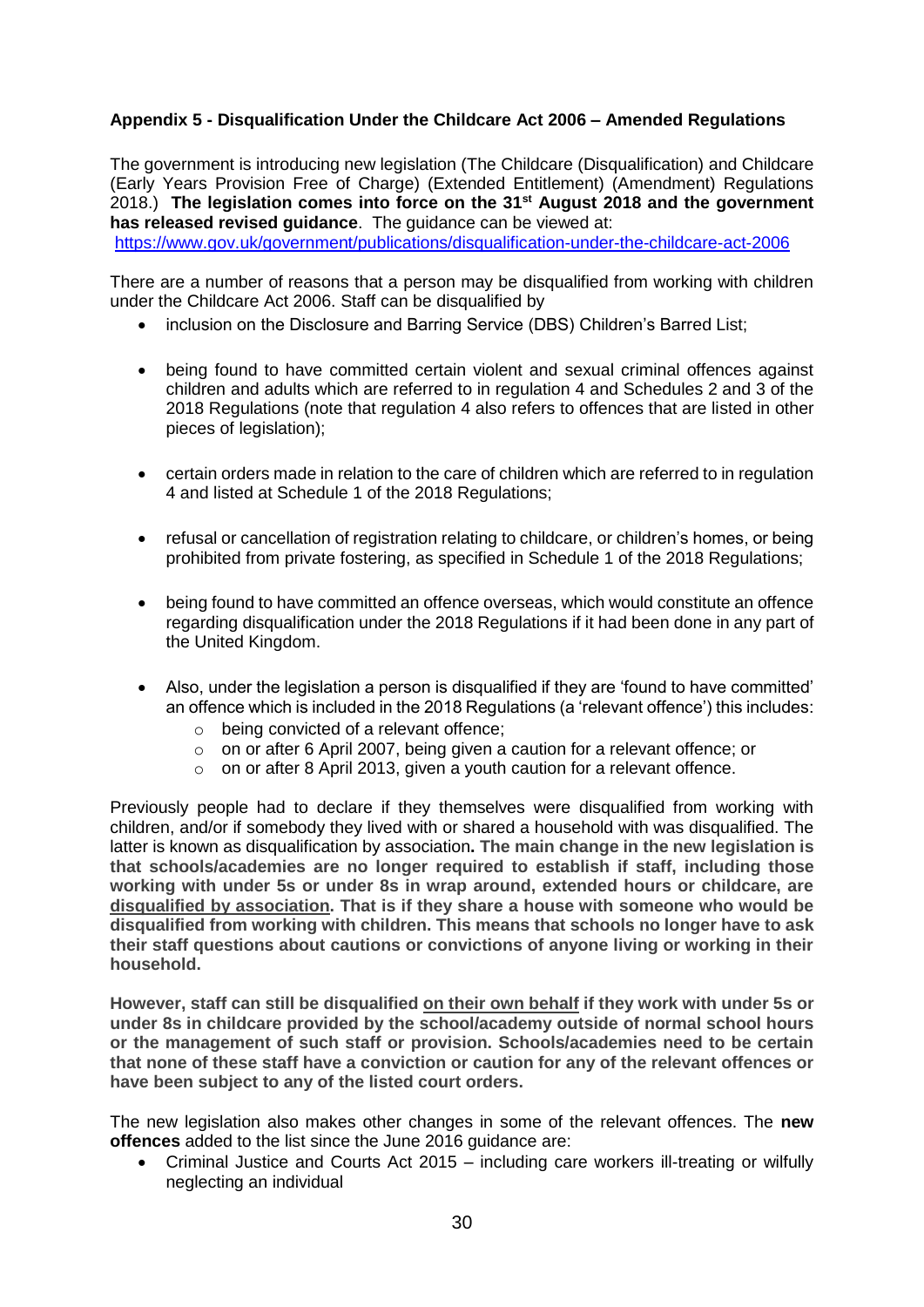# **Appendix 5 - Disqualification Under the Childcare Act 2006 – Amended Regulations**

The government is introducing new legislation (The Childcare (Disqualification) and Childcare (Early Years Provision Free of Charge) (Extended Entitlement) (Amendment) Regulations 2018.) **The legislation comes into force on the 31st August 2018 and the government has released revised guidance**. The guidance can be viewed at:

<https://www.gov.uk/government/publications/disqualification-under-the-childcare-act-2006>

There are a number of reasons that a person may be disqualified from working with children under the Childcare Act 2006. Staff can be disqualified by

- inclusion on the Disclosure and Barring Service (DBS) Children's Barred List;
- being found to have committed certain violent and sexual criminal offences against children and adults which are referred to in regulation 4 and Schedules 2 and 3 of the 2018 Regulations (note that regulation 4 also refers to offences that are listed in other pieces of legislation);
- certain orders made in relation to the care of children which are referred to in regulation 4 and listed at Schedule 1 of the 2018 Regulations;
- refusal or cancellation of registration relating to childcare, or children's homes, or being prohibited from private fostering, as specified in Schedule 1 of the 2018 Regulations;
- being found to have committed an offence overseas, which would constitute an offence regarding disqualification under the 2018 Regulations if it had been done in any part of the United Kingdom.
- Also, under the legislation a person is disqualified if they are 'found to have committed' an offence which is included in the 2018 Regulations (a 'relevant offence') this includes:
	- o being convicted of a relevant offence;
	- o on or after 6 April 2007, being given a caution for a relevant offence; or
	- o on or after 8 April 2013, given a youth caution for a relevant offence.

Previously people had to declare if they themselves were disqualified from working with children, and/or if somebody they lived with or shared a household with was disqualified. The latter is known as disqualification by association**. The main change in the new legislation is that schools/academies are no longer required to establish if staff, including those working with under 5s or under 8s in wrap around, extended hours or childcare, are disqualified by association. That is if they share a house with someone who would be disqualified from working with children. This means that schools no longer have to ask their staff questions about cautions or convictions of anyone living or working in their household.**

**However, staff can still be disqualified on their own behalf if they work with under 5s or under 8s in childcare provided by the school/academy outside of normal school hours or the management of such staff or provision. Schools/academies need to be certain that none of these staff have a conviction or caution for any of the relevant offences or have been subject to any of the listed court orders.**

The new legislation also makes other changes in some of the relevant offences. The **new offences** added to the list since the June 2016 guidance are:

 Criminal Justice and Courts Act 2015 – including care workers ill-treating or wilfully neglecting an individual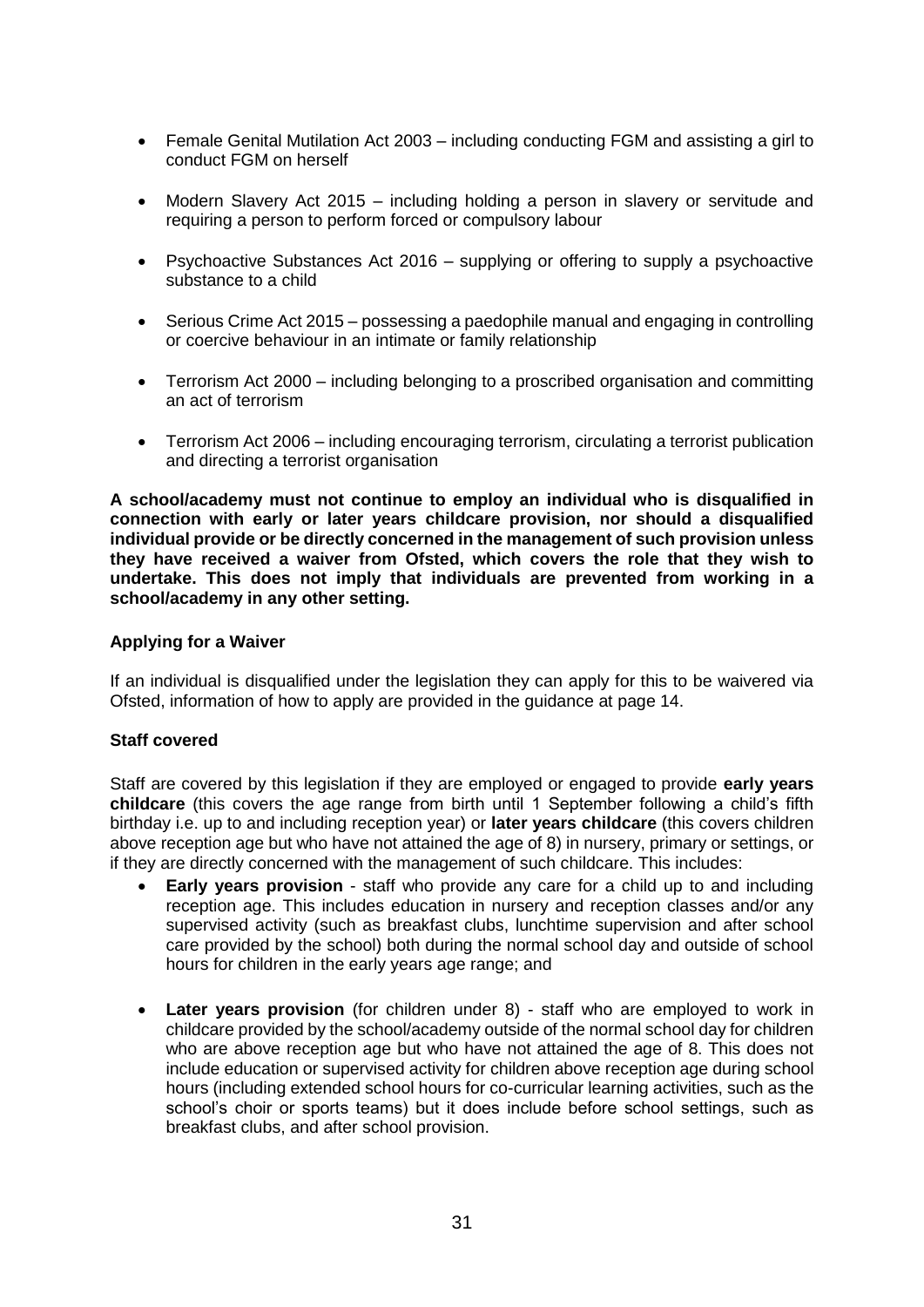- Female Genital Mutilation Act 2003 including conducting FGM and assisting a girl to conduct FGM on herself
- Modern Slavery Act 2015 including holding a person in slavery or servitude and requiring a person to perform forced or compulsory labour
- Psychoactive Substances Act 2016 supplying or offering to supply a psychoactive substance to a child
- Serious Crime Act 2015 possessing a paedophile manual and engaging in controlling or coercive behaviour in an intimate or family relationship
- Terrorism Act 2000 including belonging to a proscribed organisation and committing an act of terrorism
- Terrorism Act 2006 including encouraging terrorism, circulating a terrorist publication and directing a terrorist organisation

**A school/academy must not continue to employ an individual who is disqualified in connection with early or later years childcare provision, nor should a disqualified individual provide or be directly concerned in the management of such provision unless they have received a waiver from Ofsted, which covers the role that they wish to undertake. This does not imply that individuals are prevented from working in a school/academy in any other setting.** 

#### **Applying for a Waiver**

If an individual is disqualified under the legislation they can apply for this to be waivered via Ofsted, information of how to apply are provided in the guidance at page 14.

#### **Staff covered**

Staff are covered by this legislation if they are employed or engaged to provide **early years childcare** (this covers the age range from birth until 1 September following a child's fifth birthday i.e. up to and including reception year) or **later years childcare** (this covers children above reception age but who have not attained the age of 8) in nursery, primary or settings, or if they are directly concerned with the management of such childcare. This includes:

- **Early years provision** staff who provide any care for a child up to and including reception age. This includes education in nursery and reception classes and/or any supervised activity (such as breakfast clubs, lunchtime supervision and after school care provided by the school) both during the normal school day and outside of school hours for children in the early years age range; and
- **Later years provision** (for children under 8) staff who are employed to work in childcare provided by the school/academy outside of the normal school day for children who are above reception age but who have not attained the age of 8. This does not include education or supervised activity for children above reception age during school hours (including extended school hours for co-curricular learning activities, such as the school's choir or sports teams) but it does include before school settings, such as breakfast clubs, and after school provision.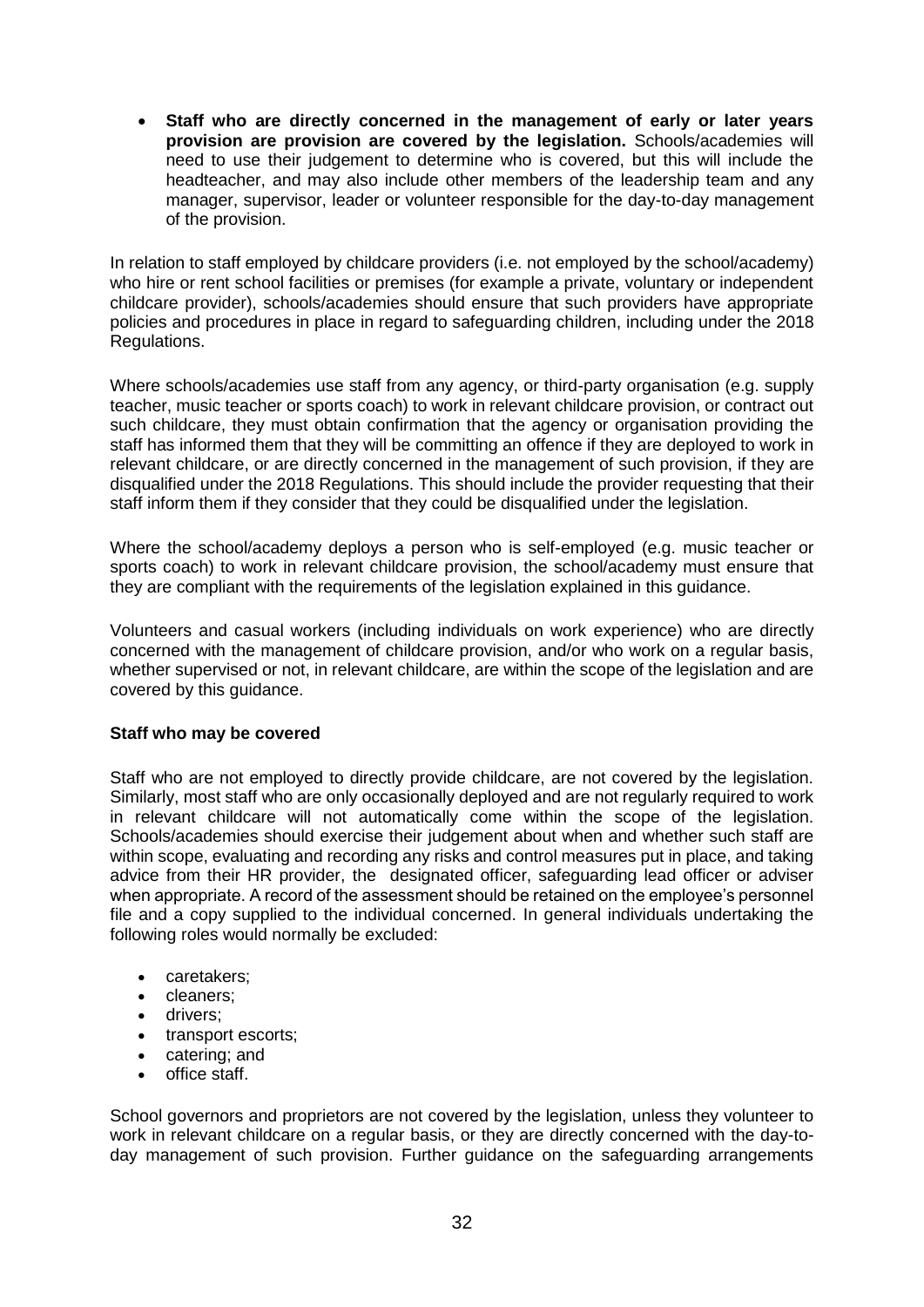**Staff who are directly concerned in the management of early or later years provision are provision are covered by the legislation.** Schools/academies will need to use their judgement to determine who is covered, but this will include the headteacher, and may also include other members of the leadership team and any manager, supervisor, leader or volunteer responsible for the day-to-day management of the provision.

In relation to staff employed by childcare providers (i.e. not employed by the school/academy) who hire or rent school facilities or premises (for example a private, voluntary or independent childcare provider), schools/academies should ensure that such providers have appropriate policies and procedures in place in regard to safeguarding children, including under the 2018 Regulations.

Where schools/academies use staff from any agency, or third-party organisation (e.g. supply teacher, music teacher or sports coach) to work in relevant childcare provision, or contract out such childcare, they must obtain confirmation that the agency or organisation providing the staff has informed them that they will be committing an offence if they are deployed to work in relevant childcare, or are directly concerned in the management of such provision, if they are disqualified under the 2018 Regulations. This should include the provider requesting that their staff inform them if they consider that they could be disqualified under the legislation.

Where the school/academy deploys a person who is self-employed (e.g. music teacher or sports coach) to work in relevant childcare provision, the school/academy must ensure that they are compliant with the requirements of the legislation explained in this guidance.

Volunteers and casual workers (including individuals on work experience) who are directly concerned with the management of childcare provision, and/or who work on a regular basis, whether supervised or not, in relevant childcare, are within the scope of the legislation and are covered by this guidance.

# **Staff who may be covered**

Staff who are not employed to directly provide childcare, are not covered by the legislation. Similarly, most staff who are only occasionally deployed and are not regularly required to work in relevant childcare will not automatically come within the scope of the legislation. Schools/academies should exercise their judgement about when and whether such staff are within scope, evaluating and recording any risks and control measures put in place, and taking advice from their HR provider, the designated officer, safeguarding lead officer or adviser when appropriate. A record of the assessment should be retained on the employee's personnel file and a copy supplied to the individual concerned. In general individuals undertaking the following roles would normally be excluded:

- caretakers;
- cleaners:
- drivers:
- transport escorts:
- catering; and
- office staff.

School governors and proprietors are not covered by the legislation, unless they volunteer to work in relevant childcare on a regular basis, or they are directly concerned with the day-today management of such provision. Further guidance on the safeguarding arrangements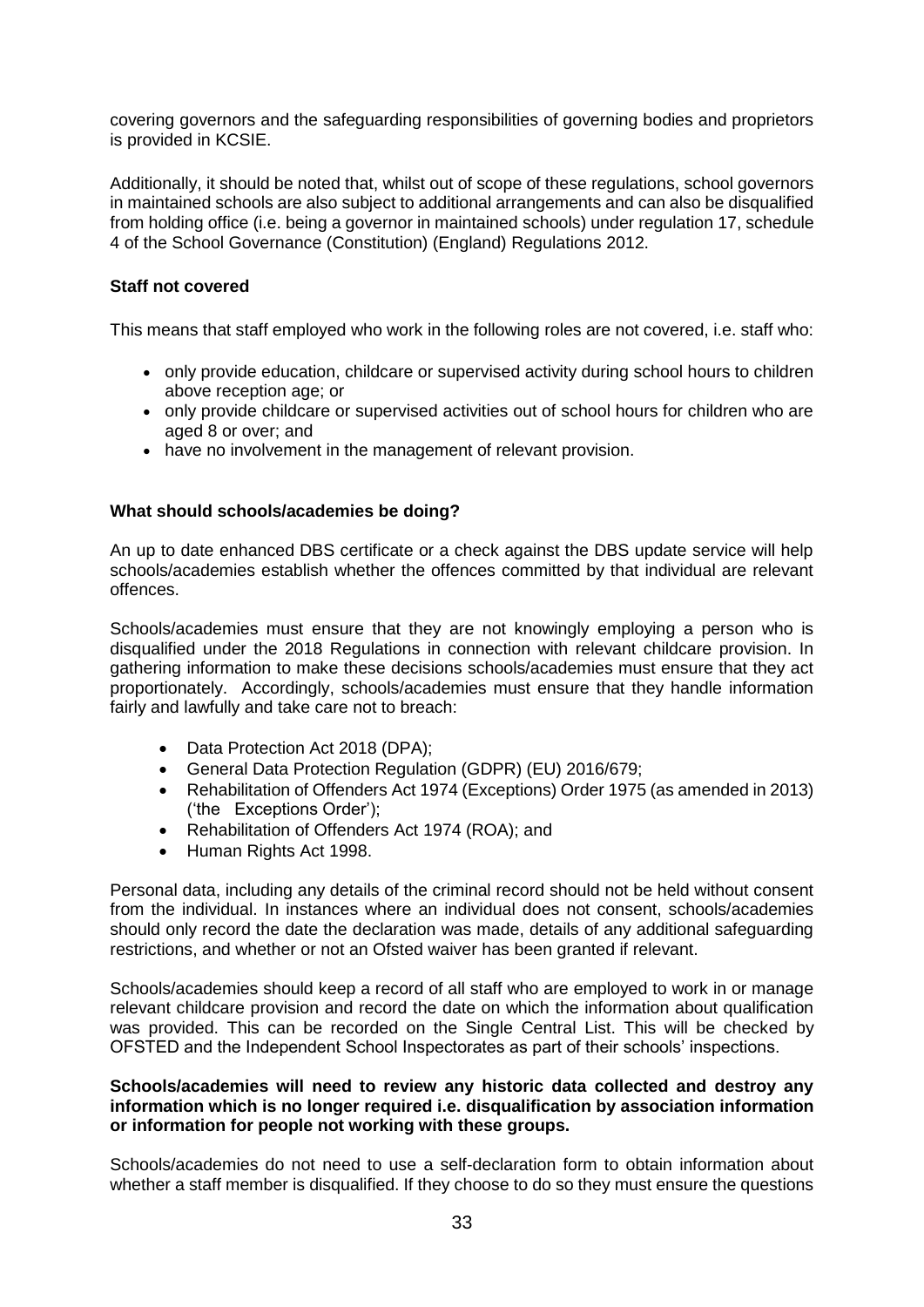covering governors and the safeguarding responsibilities of governing bodies and proprietors is provided in KCSIE.

Additionally, it should be noted that, whilst out of scope of these regulations, school governors in maintained schools are also subject to additional arrangements and can also be disqualified from holding office (i.e. being a governor in maintained schools) under regulation 17, schedule 4 of the School Governance (Constitution) (England) Regulations 2012.

# **Staff not covered**

This means that staff employed who work in the following roles are not covered, i.e. staff who:

- only provide education, childcare or supervised activity during school hours to children above reception age; or
- only provide childcare or supervised activities out of school hours for children who are aged 8 or over; and
- have no involvement in the management of relevant provision.

# **What should schools/academies be doing?**

An up to date enhanced DBS certificate or a check against the DBS update service will help schools/academies establish whether the offences committed by that individual are relevant offences.

Schools/academies must ensure that they are not knowingly employing a person who is disqualified under the 2018 Regulations in connection with relevant childcare provision. In gathering information to make these decisions schools/academies must ensure that they act proportionately. Accordingly, schools/academies must ensure that they handle information fairly and lawfully and take care not to breach:

- Data Protection Act 2018 (DPA);
- General Data Protection Regulation (GDPR) (EU) 2016/679;
- Rehabilitation of Offenders Act 1974 (Exceptions) Order 1975 (as amended in 2013) ('the Exceptions Order');
- Rehabilitation of Offenders Act 1974 (ROA); and
- Human Rights Act 1998.

Personal data, including any details of the criminal record should not be held without consent from the individual. In instances where an individual does not consent, schools/academies should only record the date the declaration was made, details of any additional safeguarding restrictions, and whether or not an Ofsted waiver has been granted if relevant.

Schools/academies should keep a record of all staff who are employed to work in or manage relevant childcare provision and record the date on which the information about qualification was provided. This can be recorded on the Single Central List. This will be checked by OFSTED and the Independent School Inspectorates as part of their schools' inspections.

#### **Schools/academies will need to review any historic data collected and destroy any information which is no longer required i.e. disqualification by association information or information for people not working with these groups.**

Schools/academies do not need to use a self-declaration form to obtain information about whether a staff member is disqualified. If they choose to do so they must ensure the questions